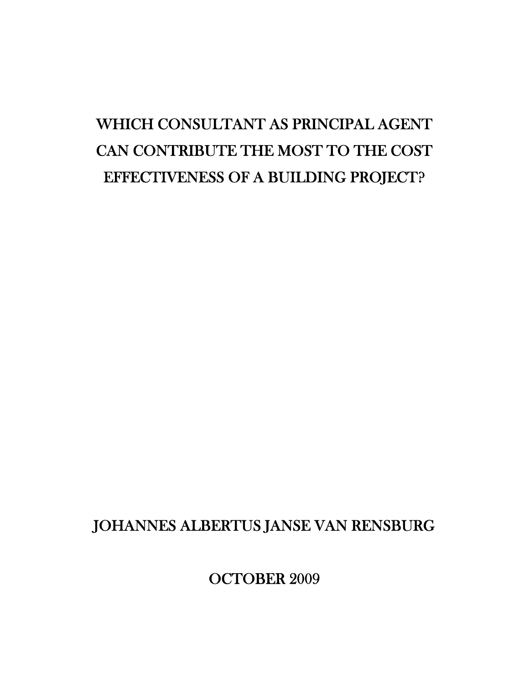# WHICH CONSULTANT AS PRINCIPAL AGENT CAN CONTRIBUTE THE MOST TO THE COST EFFECTIVENESS OF A BUILDING PROJECT?

## JOHANNES ALBERTUS JANSE VAN RENSBURG

OCTOBER 2009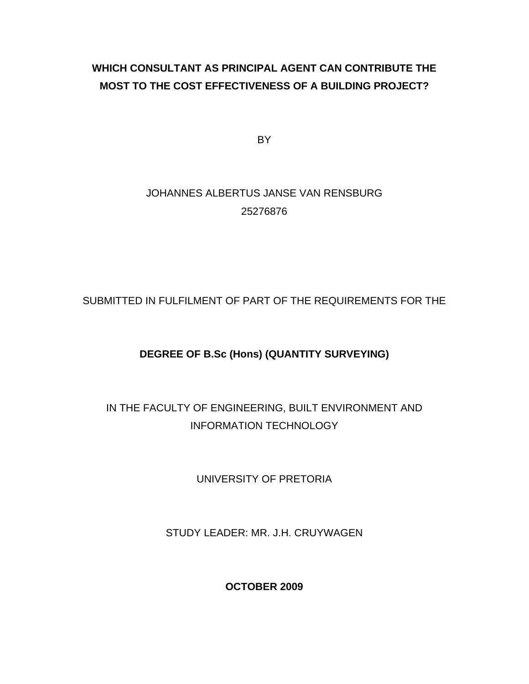### **WHICH CONSULTANT AS PRINCIPAL AGENT CAN CONTRIBUTE THE MOST TO THE COST EFFECTIVENESS OF A BUILDING PROJECT?**

BY

### JOHANNES ALBERTUS JANSE VAN RENSBURG 25276876

SUBMITTED IN FULFILMENT OF PART OF THE REQUIREMENTS FOR THE

### **DEGREE OF B.Sc (Hons) (QUANTITY SURVEYING)**

### IN THE FACULTY OF ENGINEERING, BUILT ENVIRONMENT AND INFORMATION TECHNOLOGY

UNIVERSITY OF PRETORIA

STUDY LEADER: MR. J.H. CRUYWAGEN

**OCTOBER 2009**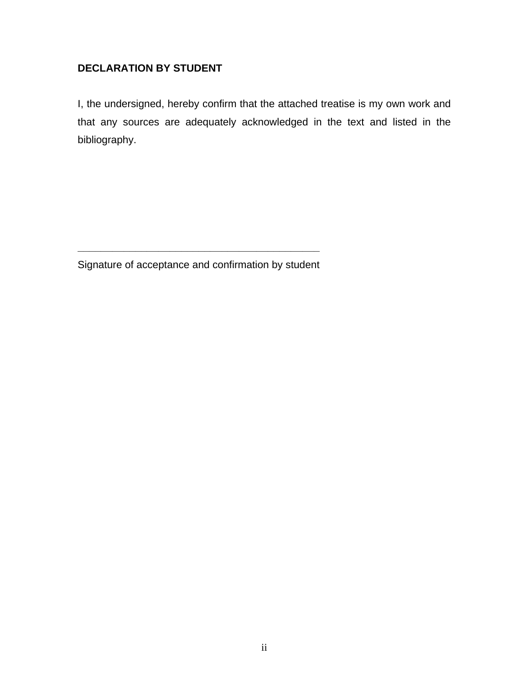#### **DECLARATION BY STUDENT**

I, the undersigned, hereby confirm that the attached treatise is my own work and that any sources are adequately acknowledged in the text and listed in the bibliography.

**\_\_\_\_\_\_\_\_\_\_\_\_\_\_\_\_\_\_\_\_\_\_\_\_\_\_\_\_\_\_\_\_\_\_\_\_\_\_\_\_\_\_**  Signature of acceptance and confirmation by student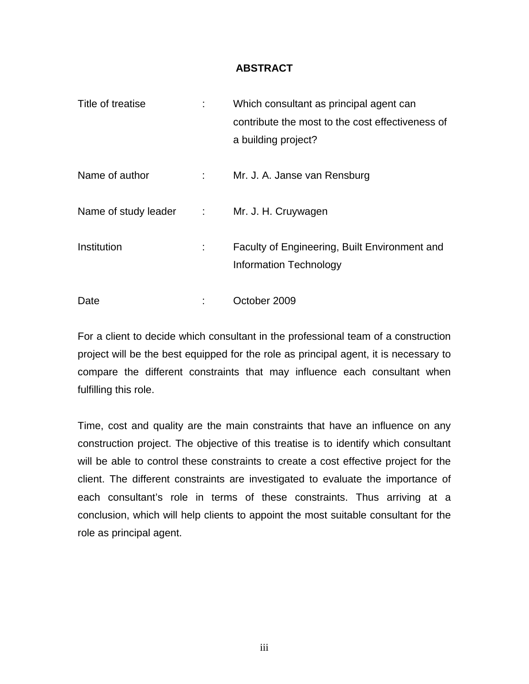#### **ABSTRACT**

| Title of treatise      |                | Which consultant as principal agent can<br>contribute the most to the cost effectiveness of<br>a building project? |
|------------------------|----------------|--------------------------------------------------------------------------------------------------------------------|
| Name of author         | $\mathbb{R}^n$ | Mr. J. A. Janse van Rensburg                                                                                       |
| Name of study leader : |                | Mr. J. H. Cruywagen                                                                                                |
| Institution            |                | Faculty of Engineering, Built Environment and<br>Information Technology                                            |
| Date                   |                | October 2009                                                                                                       |

For a client to decide which consultant in the professional team of a construction project will be the best equipped for the role as principal agent, it is necessary to compare the different constraints that may influence each consultant when fulfilling this role.

Time, cost and quality are the main constraints that have an influence on any construction project. The objective of this treatise is to identify which consultant will be able to control these constraints to create a cost effective project for the client. The different constraints are investigated to evaluate the importance of each consultant's role in terms of these constraints. Thus arriving at a conclusion, which will help clients to appoint the most suitable consultant for the role as principal agent.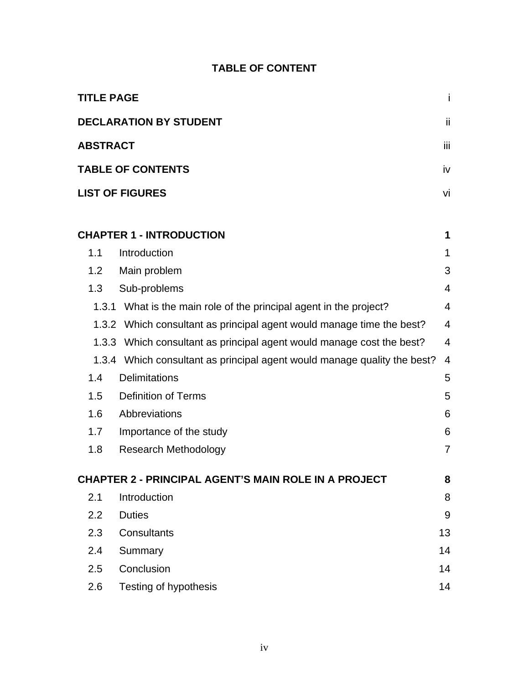| <b>TABLE OF CONTENT</b> |
|-------------------------|
|-------------------------|

| <b>TITLE PAGE</b> |                                                                          | i              |
|-------------------|--------------------------------------------------------------------------|----------------|
|                   | <b>DECLARATION BY STUDENT</b>                                            | ii             |
| <b>ABSTRACT</b>   |                                                                          | ΪİΙ            |
|                   | <b>TABLE OF CONTENTS</b>                                                 | iv             |
|                   | <b>LIST OF FIGURES</b>                                                   | vi             |
|                   |                                                                          |                |
|                   | <b>CHAPTER 1 - INTRODUCTION</b>                                          | 1              |
| 1.1               | Introduction                                                             | 1              |
| 1.2               | Main problem                                                             | 3              |
| 1.3               | Sub-problems                                                             | 4              |
| 1.3.1             | What is the main role of the principal agent in the project?             | 4              |
|                   | 1.3.2 Which consultant as principal agent would manage time the best?    | $\overline{4}$ |
|                   | 1.3.3 Which consultant as principal agent would manage cost the best?    | $\overline{4}$ |
|                   | 1.3.4 Which consultant as principal agent would manage quality the best? | $\overline{4}$ |
| 1.4               | <b>Delimitations</b>                                                     | 5              |
| 1.5               | <b>Definition of Terms</b>                                               | 5              |
| 1.6               | Abbreviations                                                            | 6              |
| 1.7               | Importance of the study                                                  | 6              |
| 1.8               | <b>Research Methodology</b>                                              | $\overline{7}$ |
|                   | <b>CHAPTER 2 - PRINCIPAL AGENT'S MAIN ROLE IN A PROJECT</b>              | 8              |
| 2.1               | Introduction                                                             | 8              |
| 2.2               | <b>Duties</b>                                                            | 9              |
| 2.3               | <b>Consultants</b>                                                       | 13             |
| 2.4               | Summary                                                                  | 14             |
| 2.5               | Conclusion                                                               | 14             |
| 2.6               | <b>Testing of hypothesis</b>                                             | 14             |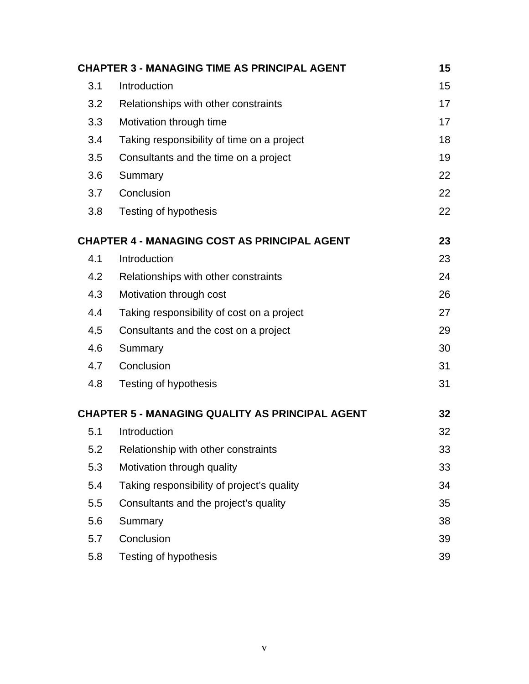|     | <b>CHAPTER 3 - MANAGING TIME AS PRINCIPAL AGENT</b>    | 15 |
|-----|--------------------------------------------------------|----|
| 3.1 | Introduction                                           | 15 |
| 3.2 | Relationships with other constraints                   | 17 |
| 3.3 | Motivation through time                                | 17 |
| 3.4 | Taking responsibility of time on a project             | 18 |
| 3.5 | Consultants and the time on a project                  | 19 |
| 3.6 | Summary                                                | 22 |
| 3.7 | Conclusion                                             | 22 |
| 3.8 | Testing of hypothesis                                  | 22 |
|     | <b>CHAPTER 4 - MANAGING COST AS PRINCIPAL AGENT</b>    | 23 |
| 4.1 | Introduction                                           | 23 |
| 4.2 | Relationships with other constraints                   | 24 |
| 4.3 | Motivation through cost                                | 26 |
| 4.4 | Taking responsibility of cost on a project             | 27 |
| 4.5 | Consultants and the cost on a project                  | 29 |
| 4.6 | Summary                                                | 30 |
| 4.7 | Conclusion                                             | 31 |
| 4.8 | Testing of hypothesis                                  | 31 |
|     | <b>CHAPTER 5 - MANAGING QUALITY AS PRINCIPAL AGENT</b> | 32 |
| 5.1 | Introduction                                           | 32 |
| 5.2 | Relationship with other constraints                    | 33 |
| 5.3 | Motivation through quality                             | 33 |
| 5.4 | Taking responsibility of project's quality             | 34 |
| 5.5 | Consultants and the project's quality                  | 35 |
| 5.6 | Summary                                                | 38 |
| 5.7 | Conclusion                                             | 39 |
| 5.8 | Testing of hypothesis                                  | 39 |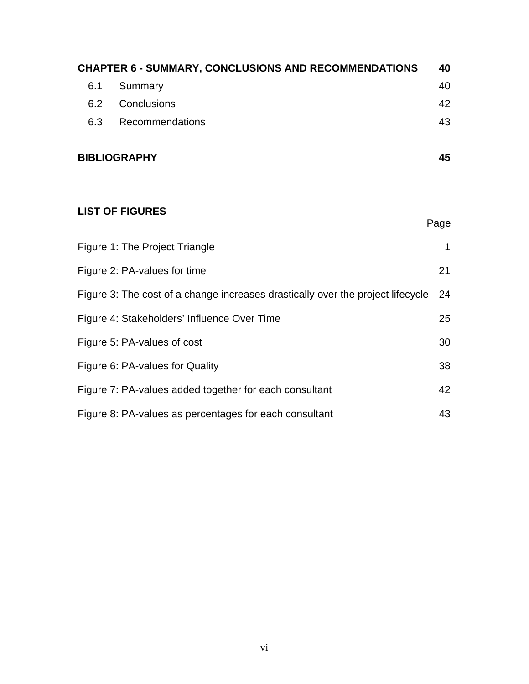| <b>CHAPTER 6 - SUMMARY, CONCLUSIONS AND RECOMMENDATIONS</b> |                     | 40 |
|-------------------------------------------------------------|---------------------|----|
| 6.1                                                         | Summary             | 40 |
| 6.2                                                         | Conclusions         | 42 |
| 6.3                                                         | Recommendations     | 43 |
|                                                             | <b>BIBLIOGRAPHY</b> | 45 |

### **LIST OF FIGURES**

|                                                                                 | Page |
|---------------------------------------------------------------------------------|------|
| Figure 1: The Project Triangle                                                  | 1    |
| Figure 2: PA-values for time                                                    | 21   |
| Figure 3: The cost of a change increases drastically over the project lifecycle | 24   |
| Figure 4: Stakeholders' Influence Over Time                                     | 25   |
| Figure 5: PA-values of cost                                                     | 30   |
| Figure 6: PA-values for Quality                                                 | 38   |
| Figure 7: PA-values added together for each consultant                          | 42   |
| Figure 8: PA-values as percentages for each consultant                          | 43   |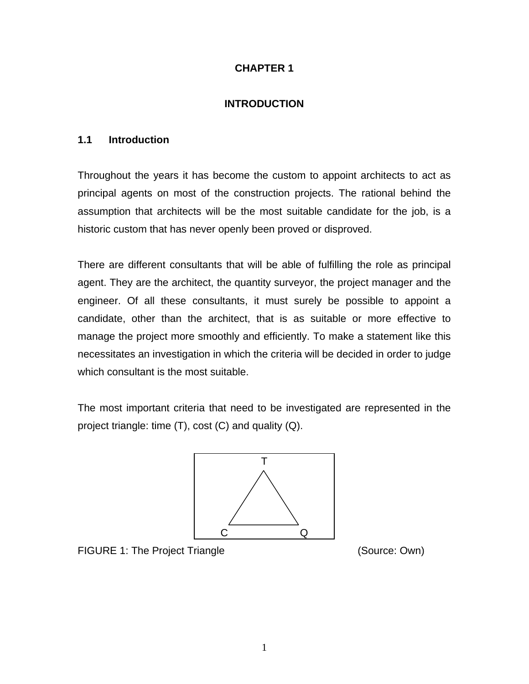#### **CHAPTER 1**

#### **INTRODUCTION**

#### <span id="page-7-0"></span>**1.1 Introduction**

Throughout the years it has become the custom to appoint architects to act as principal agents on most of the construction projects. The rational behind the assumption that architects will be the most suitable candidate for the job, is a historic custom that has never openly been proved or disproved.

There are different consultants that will be able of fulfilling the role as principal agent. They are the architect, the quantity surveyor, the project manager and the engineer. Of all these consultants, it must surely be possible to appoint a candidate, other than the architect, that is as suitable or more effective to manage the project more smoothly and efficiently. To make a statement like this necessitates an investigation in which the criteria will be decided in order to judge which consultant is the most suitable.

The most important criteria that need to be investigated are represented in the project triangle: time (T), cost (C) and quality (Q).



FIGURE 1: The Project Triangle (Source: Own)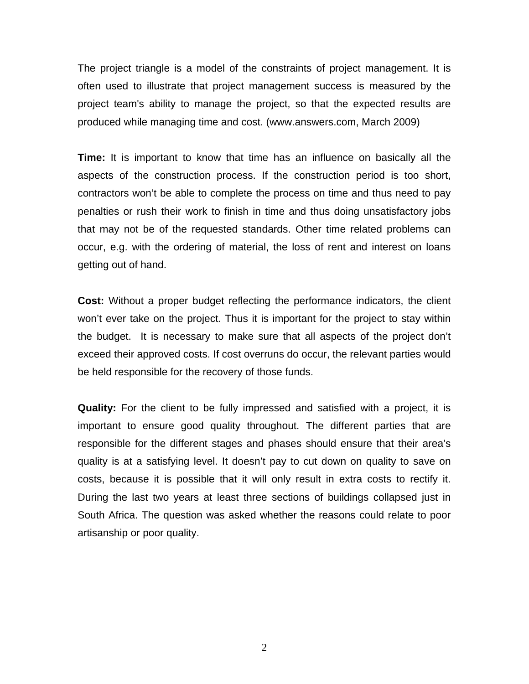The project triangle is a model of the constraints of project management. It is often used to illustrate that project management success is measured by the project team's ability to manage the project, so that the expected results are produced while managing time and cost. (www.answers.com, March 2009)

**Time:** It is important to know that time has an influence on basically all the aspects of the construction process. If the construction period is too short, contractors won't be able to complete the process on time and thus need to pay penalties or rush their work to finish in time and thus doing unsatisfactory jobs that may not be of the requested standards. Other time related problems can occur, e.g. with the ordering of material, the loss of rent and interest on loans getting out of hand.

**Cost:** Without a proper budget reflecting the performance indicators, the client won't ever take on the project. Thus it is important for the project to stay within the budget. It is necessary to make sure that all aspects of the project don't exceed their approved costs. If cost overruns do occur, the relevant parties would be held responsible for the recovery of those funds.

**Quality:** For the client to be fully impressed and satisfied with a project, it is important to ensure good quality throughout. The different parties that are responsible for the different stages and phases should ensure that their area's quality is at a satisfying level. It doesn't pay to cut down on quality to save on costs, because it is possible that it will only result in extra costs to rectify it. During the last two years at least three sections of buildings collapsed just in South Africa. The question was asked whether the reasons could relate to poor artisanship or poor quality.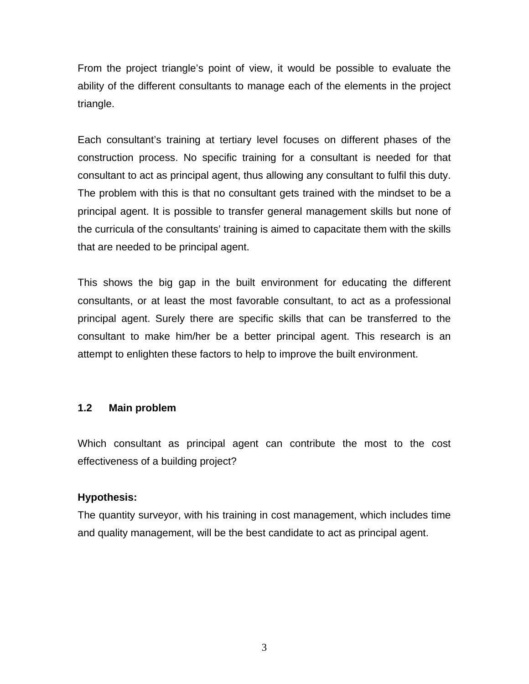<span id="page-9-0"></span>From the project triangle's point of view, it would be possible to evaluate the ability of the different consultants to manage each of the elements in the project triangle.

Each consultant's training at tertiary level focuses on different phases of the construction process. No specific training for a consultant is needed for that consultant to act as principal agent, thus allowing any consultant to fulfil this duty. The problem with this is that no consultant gets trained with the mindset to be a principal agent. It is possible to transfer general management skills but none of the curricula of the consultants' training is aimed to capacitate them with the skills that are needed to be principal agent.

This shows the big gap in the built environment for educating the different consultants, or at least the most favorable consultant, to act as a professional principal agent. Surely there are specific skills that can be transferred to the consultant to make him/her be a better principal agent. This research is an attempt to enlighten these factors to help to improve the built environment.

#### **1.2 Main problem**

Which consultant as principal agent can contribute the most to the cost effectiveness of a building project?

#### **Hypothesis:**

The quantity surveyor, with his training in cost management, which includes time and quality management, will be the best candidate to act as principal agent.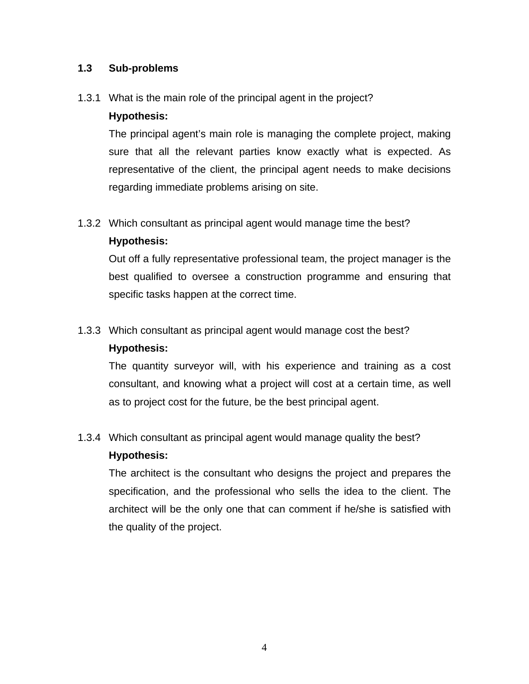#### <span id="page-10-0"></span>**1.3 Sub-problems**

#### 1.3.1 What is the main role of the principal agent in the project?

#### **Hypothesis:**

The principal agent's main role is managing the complete project, making sure that all the relevant parties know exactly what is expected. As representative of the client, the principal agent needs to make decisions regarding immediate problems arising on site.

#### 1.3.2 Which consultant as principal agent would manage time the best?

#### **Hypothesis:**

Out off a fully representative professional team, the project manager is the best qualified to oversee a construction programme and ensuring that specific tasks happen at the correct time.

### 1.3.3 Which consultant as principal agent would manage cost the best? **Hypothesis:**

The quantity surveyor will, with his experience and training as a cost consultant, and knowing what a project will cost at a certain time, as well as to project cost for the future, be the best principal agent.

### 1.3.4 Which consultant as principal agent would manage quality the best?

#### **Hypothesis:**

The architect is the consultant who designs the project and prepares the specification, and the professional who sells the idea to the client. The architect will be the only one that can comment if he/she is satisfied with the quality of the project.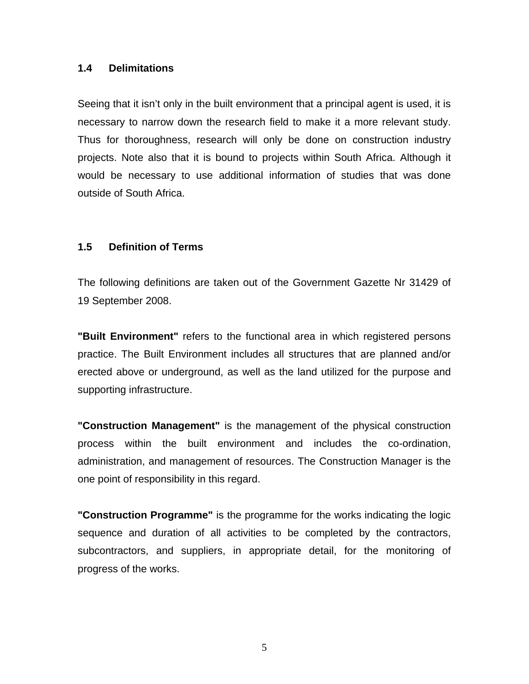#### <span id="page-11-0"></span>**1.4 Delimitations**

Seeing that it isn't only in the built environment that a principal agent is used, it is necessary to narrow down the research field to make it a more relevant study. Thus for thoroughness, research will only be done on construction industry projects. Note also that it is bound to projects within South Africa. Although it would be necessary to use additional information of studies that was done outside of South Africa.

#### **1.5 Definition of Terms**

The following definitions are taken out of the Government Gazette Nr 31429 of 19 September 2008.

**"Built Environment"** refers to the functional area in which registered persons practice. The Built Environment includes all structures that are planned and/or erected above or underground, as well as the land utilized for the purpose and supporting infrastructure.

**"Construction Management"** is the management of the physical construction process within the built environment and includes the co-ordination, administration, and management of resources. The Construction Manager is the one point of responsibility in this regard.

**"Construction Programme"** is the programme for the works indicating the logic sequence and duration of all activities to be completed by the contractors, subcontractors, and suppliers, in appropriate detail, for the monitoring of progress of the works.

5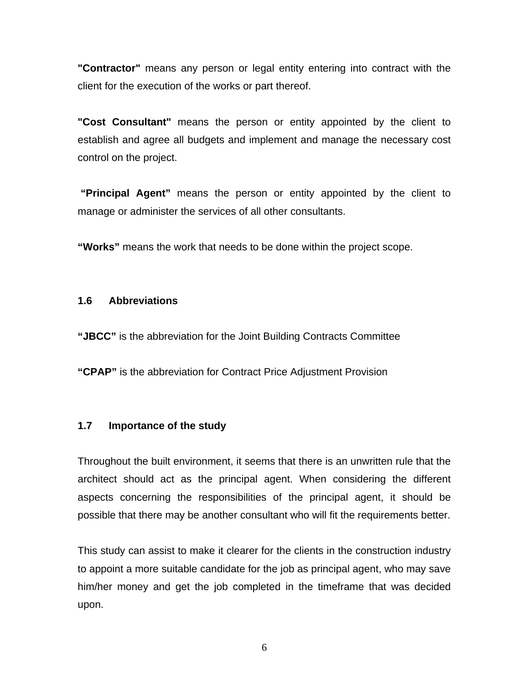<span id="page-12-0"></span>**"Contractor"** means any person or legal entity entering into contract with the client for the execution of the works or part thereof.

**"Cost Consultant"** means the person or entity appointed by the client to establish and agree all budgets and implement and manage the necessary cost control on the project.

 **"Principal Agent"** means the person or entity appointed by the client to manage or administer the services of all other consultants.

**"Works"** means the work that needs to be done within the project scope.

#### **1.6 Abbreviations**

**"JBCC"** is the abbreviation for the Joint Building Contracts Committee

**"CPAP"** is the abbreviation for Contract Price Adjustment Provision

#### **1.7 Importance of the study**

Throughout the built environment, it seems that there is an unwritten rule that the architect should act as the principal agent. When considering the different aspects concerning the responsibilities of the principal agent, it should be possible that there may be another consultant who will fit the requirements better.

This study can assist to make it clearer for the clients in the construction industry to appoint a more suitable candidate for the job as principal agent, who may save him/her money and get the job completed in the timeframe that was decided upon.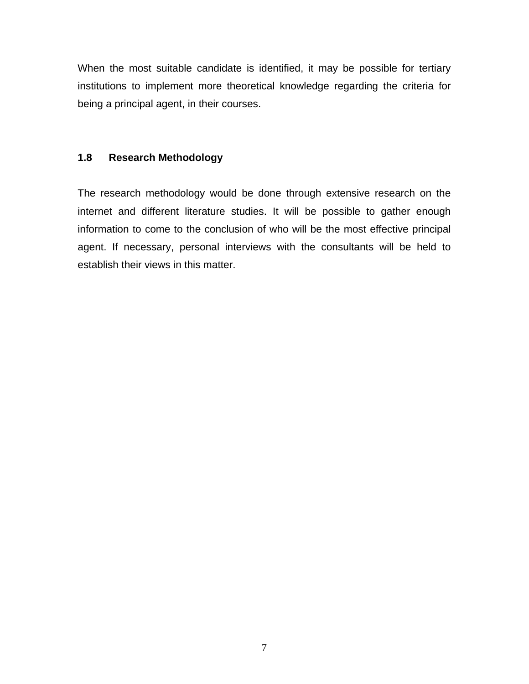<span id="page-13-0"></span>When the most suitable candidate is identified, it may be possible for tertiary institutions to implement more theoretical knowledge regarding the criteria for being a principal agent, in their courses.

#### **1.8 Research Methodology**

The research methodology would be done through extensive research on the internet and different literature studies. It will be possible to gather enough information to come to the conclusion of who will be the most effective principal agent. If necessary, personal interviews with the consultants will be held to establish their views in this matter.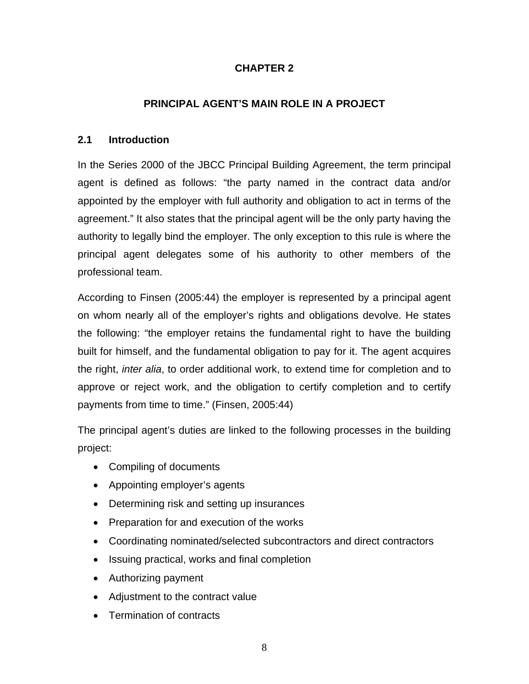#### **CHAPTER 2**

#### **PRINCIPAL AGENT'S MAIN ROLE IN A PROJECT**

#### <span id="page-14-0"></span>**2.1 Introduction**

In the Series 2000 of the JBCC Principal Building Agreement, the term principal agent is defined as follows: "the party named in the contract data and/or appointed by the employer with full authority and obligation to act in terms of the agreement." It also states that the principal agent will be the only party having the authority to legally bind the employer. The only exception to this rule is where the principal agent delegates some of his authority to other members of the professional team.

According to Finsen (2005:44) the employer is represented by a principal agent on whom nearly all of the employer's rights and obligations devolve. He states the following: "the employer retains the fundamental right to have the building built for himself, and the fundamental obligation to pay for it. The agent acquires the right, *inter alia*, to order additional work, to extend time for completion and to approve or reject work, and the obligation to certify completion and to certify payments from time to time." (Finsen, 2005:44)

The principal agent's duties are linked to the following processes in the building project:

- Compiling of documents
- Appointing employer's agents
- Determining risk and setting up insurances
- Preparation for and execution of the works
- Coordinating nominated/selected subcontractors and direct contractors
- Issuing practical, works and final completion
- Authorizing payment
- Adjustment to the contract value
- Termination of contracts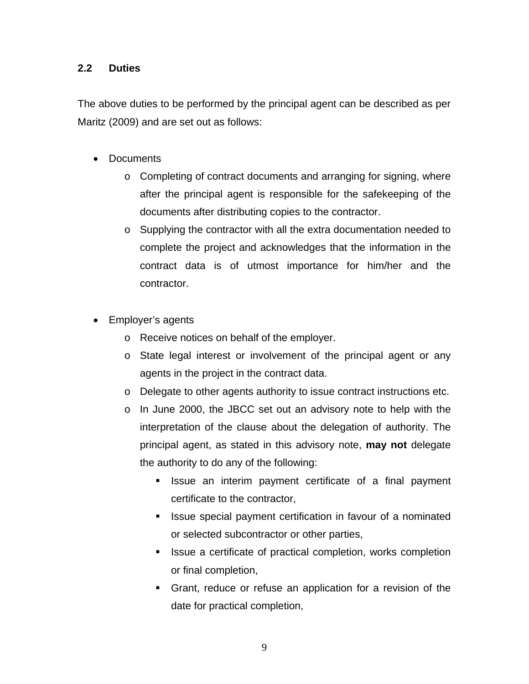#### <span id="page-15-0"></span>**2.2 Duties**

The above duties to be performed by the principal agent can be described as per Maritz (2009) and are set out as follows:

- Documents
	- o Completing of contract documents and arranging for signing, where after the principal agent is responsible for the safekeeping of the documents after distributing copies to the contractor.
	- $\circ$  Supplying the contractor with all the extra documentation needed to complete the project and acknowledges that the information in the contract data is of utmost importance for him/her and the contractor.
- Employer's agents
	- o Receive notices on behalf of the employer.
	- o State legal interest or involvement of the principal agent or any agents in the project in the contract data.
	- $\circ$  Delegate to other agents authority to issue contract instructions etc.
	- o In June 2000, the JBCC set out an advisory note to help with the interpretation of the clause about the delegation of authority. The principal agent, as stated in this advisory note, **may not** delegate the authority to do any of the following:
		- **If** Issue an interim payment certificate of a final payment certificate to the contractor,
		- **If** Issue special payment certification in favour of a nominated or selected subcontractor or other parties,
		- **In Issue a certificate of practical completion, works completion** or final completion,
		- Grant, reduce or refuse an application for a revision of the date for practical completion,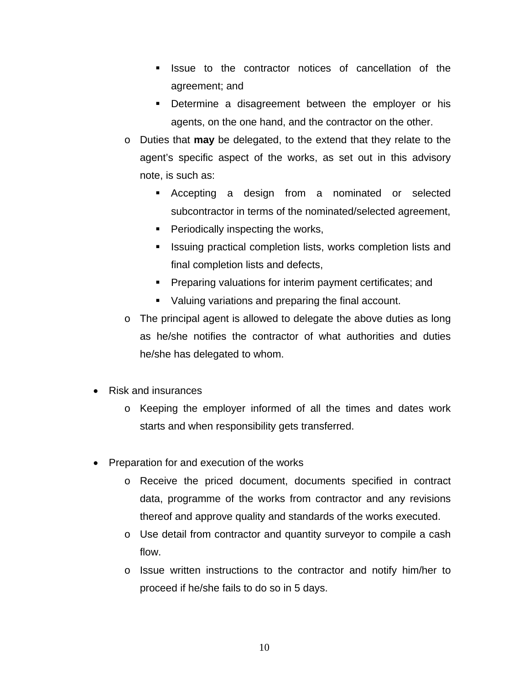- **If Issue to the contractor notices of cancellation of the** agreement; and
- **Determine a disagreement between the employer or his** agents, on the one hand, and the contractor on the other.
- o Duties that **may** be delegated, to the extend that they relate to the agent's specific aspect of the works, as set out in this advisory note, is such as:
	- Accepting a design from a nominated or selected subcontractor in terms of the nominated/selected agreement,
	- $\blacksquare$  Periodically inspecting the works,
	- Issuing practical completion lists, works completion lists and final completion lists and defects,
	- **Preparing valuations for interim payment certificates; and**
	- Valuing variations and preparing the final account.
- $\circ$  The principal agent is allowed to delegate the above duties as long as he/she notifies the contractor of what authorities and duties he/she has delegated to whom.
- Risk and insurances
	- o Keeping the employer informed of all the times and dates work starts and when responsibility gets transferred.
- Preparation for and execution of the works
	- o Receive the priced document, documents specified in contract data, programme of the works from contractor and any revisions thereof and approve quality and standards of the works executed.
	- o Use detail from contractor and quantity surveyor to compile a cash flow.
	- o Issue written instructions to the contractor and notify him/her to proceed if he/she fails to do so in 5 days.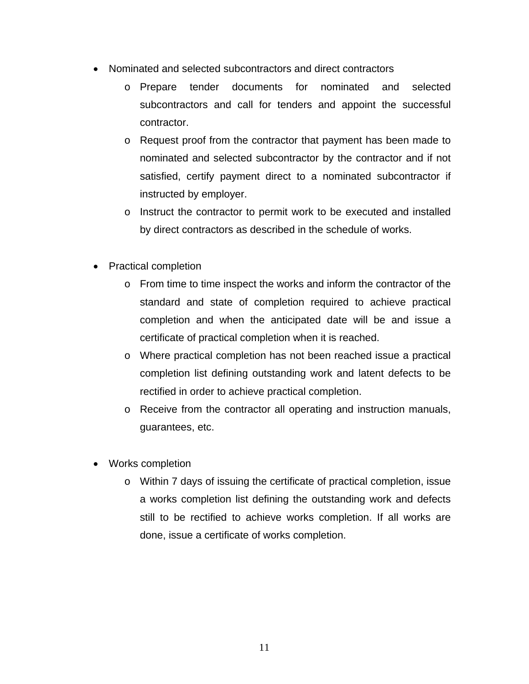- Nominated and selected subcontractors and direct contractors
	- o Prepare tender documents for nominated and selected subcontractors and call for tenders and appoint the successful contractor.
	- o Request proof from the contractor that payment has been made to nominated and selected subcontractor by the contractor and if not satisfied, certify payment direct to a nominated subcontractor if instructed by employer.
	- o Instruct the contractor to permit work to be executed and installed by direct contractors as described in the schedule of works.
- Practical completion
	- o From time to time inspect the works and inform the contractor of the standard and state of completion required to achieve practical completion and when the anticipated date will be and issue a certificate of practical completion when it is reached.
	- o Where practical completion has not been reached issue a practical completion list defining outstanding work and latent defects to be rectified in order to achieve practical completion.
	- o Receive from the contractor all operating and instruction manuals, guarantees, etc.
- Works completion
	- o Within 7 days of issuing the certificate of practical completion, issue a works completion list defining the outstanding work and defects still to be rectified to achieve works completion. If all works are done, issue a certificate of works completion.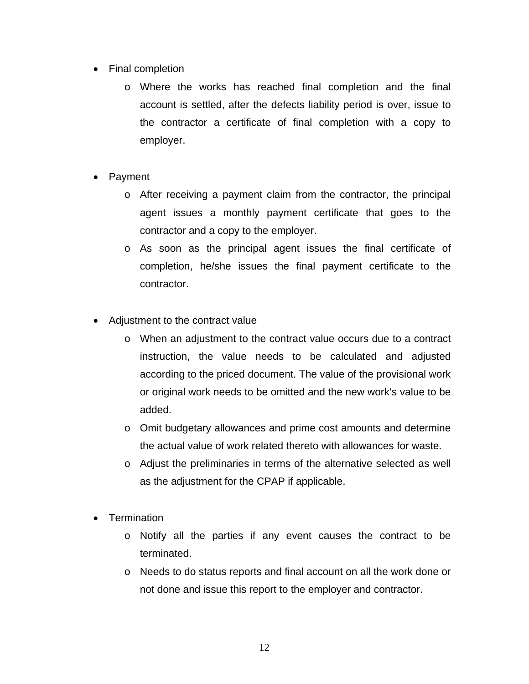- Final completion
	- o Where the works has reached final completion and the final account is settled, after the defects liability period is over, issue to the contractor a certificate of final completion with a copy to employer.
- Payment
	- $\circ$  After receiving a payment claim from the contractor, the principal agent issues a monthly payment certificate that goes to the contractor and a copy to the employer.
	- o As soon as the principal agent issues the final certificate of completion, he/she issues the final payment certificate to the contractor.
- Adjustment to the contract value
	- o When an adjustment to the contract value occurs due to a contract instruction, the value needs to be calculated and adjusted according to the priced document. The value of the provisional work or original work needs to be omitted and the new work's value to be added.
	- o Omit budgetary allowances and prime cost amounts and determine the actual value of work related thereto with allowances for waste.
	- o Adjust the preliminaries in terms of the alternative selected as well as the adjustment for the CPAP if applicable.
- Termination
	- o Notify all the parties if any event causes the contract to be terminated.
	- o Needs to do status reports and final account on all the work done or not done and issue this report to the employer and contractor.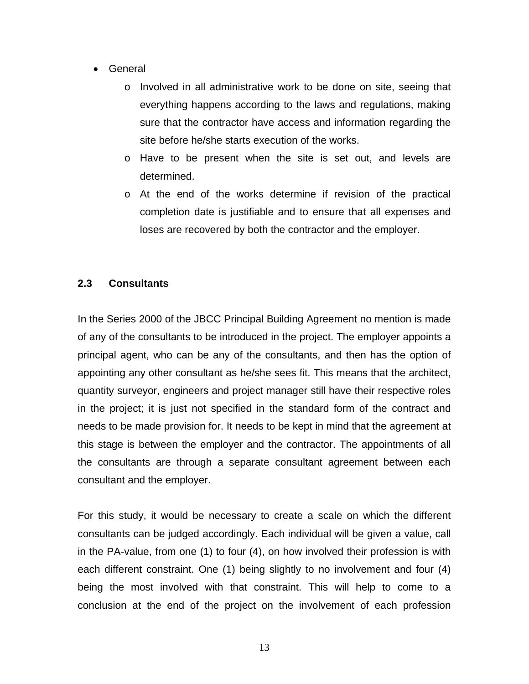- <span id="page-19-0"></span>• General
	- o Involved in all administrative work to be done on site, seeing that everything happens according to the laws and regulations, making sure that the contractor have access and information regarding the site before he/she starts execution of the works.
	- o Have to be present when the site is set out, and levels are determined.
	- o At the end of the works determine if revision of the practical completion date is justifiable and to ensure that all expenses and loses are recovered by both the contractor and the employer.

#### **2.3 Consultants**

In the Series 2000 of the JBCC Principal Building Agreement no mention is made of any of the consultants to be introduced in the project. The employer appoints a principal agent, who can be any of the consultants, and then has the option of appointing any other consultant as he/she sees fit. This means that the architect, quantity surveyor, engineers and project manager still have their respective roles in the project; it is just not specified in the standard form of the contract and needs to be made provision for. It needs to be kept in mind that the agreement at this stage is between the employer and the contractor. The appointments of all the consultants are through a separate consultant agreement between each consultant and the employer.

For this study, it would be necessary to create a scale on which the different consultants can be judged accordingly. Each individual will be given a value, call in the PA-value, from one (1) to four (4), on how involved their profession is with each different constraint. One (1) being slightly to no involvement and four (4) being the most involved with that constraint. This will help to come to a conclusion at the end of the project on the involvement of each profession

13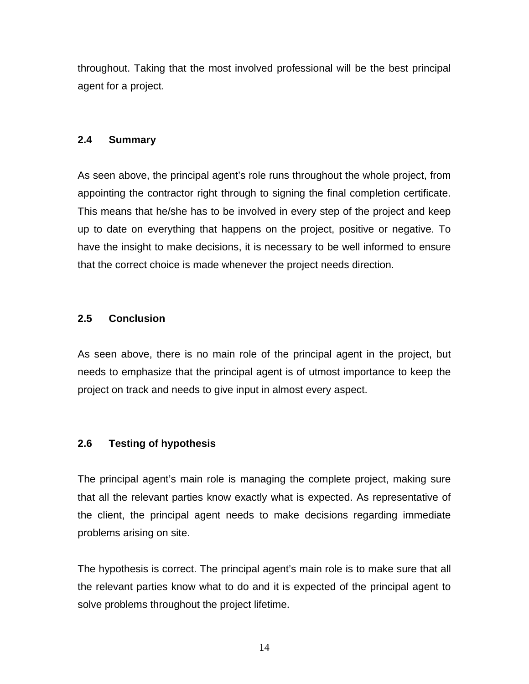<span id="page-20-0"></span>throughout. Taking that the most involved professional will be the best principal agent for a project.

#### **2.4 Summary**

As seen above, the principal agent's role runs throughout the whole project, from appointing the contractor right through to signing the final completion certificate. This means that he/she has to be involved in every step of the project and keep up to date on everything that happens on the project, positive or negative. To have the insight to make decisions, it is necessary to be well informed to ensure that the correct choice is made whenever the project needs direction.

#### **2.5 Conclusion**

As seen above, there is no main role of the principal agent in the project, but needs to emphasize that the principal agent is of utmost importance to keep the project on track and needs to give input in almost every aspect.

#### **2.6 Testing of hypothesis**

The principal agent's main role is managing the complete project, making sure that all the relevant parties know exactly what is expected. As representative of the client, the principal agent needs to make decisions regarding immediate problems arising on site.

The hypothesis is correct. The principal agent's main role is to make sure that all the relevant parties know what to do and it is expected of the principal agent to solve problems throughout the project lifetime.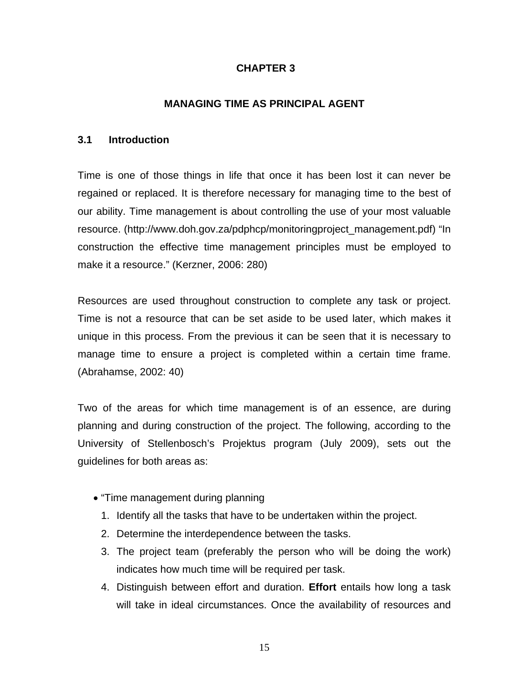#### **CHAPTER 3**

#### **MANAGING TIME AS PRINCIPAL AGENT**

#### <span id="page-21-0"></span>**3.1 Introduction**

Time is one of those things in life that once it has been lost it can never be regained or replaced. It is therefore necessary for managing time to the best of our ability. Time management is about controlling the use of your most valuable resource. (http://www.doh.gov.za/pdphcp/monitoringproject\_management.pdf) "In construction the effective time management principles must be employed to make it a resource." (Kerzner, 2006: 280)

Resources are used throughout construction to complete any task or project. Time is not a resource that can be set aside to be used later, which makes it unique in this process. From the previous it can be seen that it is necessary to manage time to ensure a project is completed within a certain time frame. (Abrahamse, 2002: 40)

Two of the areas for which time management is of an essence, are during planning and during construction of the project. The following, according to the University of Stellenbosch's Projektus program (July 2009), sets out the guidelines for both areas as:

- "Time management during planning
	- 1. Identify all the tasks that have to be undertaken within the project.
	- 2. Determine the interdependence between the tasks.
	- 3. The project team (preferably the person who will be doing the work) indicates how much time will be required per task.
	- 4. Distinguish between effort and duration. **Effort** entails how long a task will take in ideal circumstances. Once the availability of resources and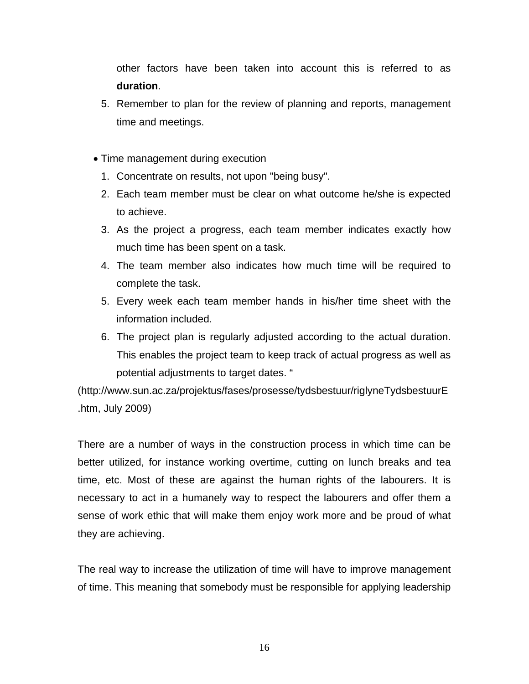other factors have been taken into account this is referred to as **duration**.

- 5. Remember to plan for the review of planning and reports, management time and meetings.
- Time management during execution
	- 1. Concentrate on results, not upon "being busy".
	- 2. Each team member must be clear on what outcome he/she is expected to achieve.
	- 3. As the project a progress, each team member indicates exactly how much time has been spent on a task.
	- 4. The team member also indicates how much time will be required to complete the task.
	- 5. Every week each team member hands in his/her time sheet with the information included.
	- 6. The project plan is regularly adjusted according to the actual duration. This enables the project team to keep track of actual progress as well as potential adjustments to target dates. "

(http://www.sun.ac.za/projektus/fases/prosesse/tydsbestuur/riglyneTydsbestuurE .htm, July 2009)

There are a number of ways in the construction process in which time can be better utilized, for instance working overtime, cutting on lunch breaks and tea time, etc. Most of these are against the human rights of the labourers. It is necessary to act in a humanely way to respect the labourers and offer them a sense of work ethic that will make them enjoy work more and be proud of what they are achieving.

The real way to increase the utilization of time will have to improve management of time. This meaning that somebody must be responsible for applying leadership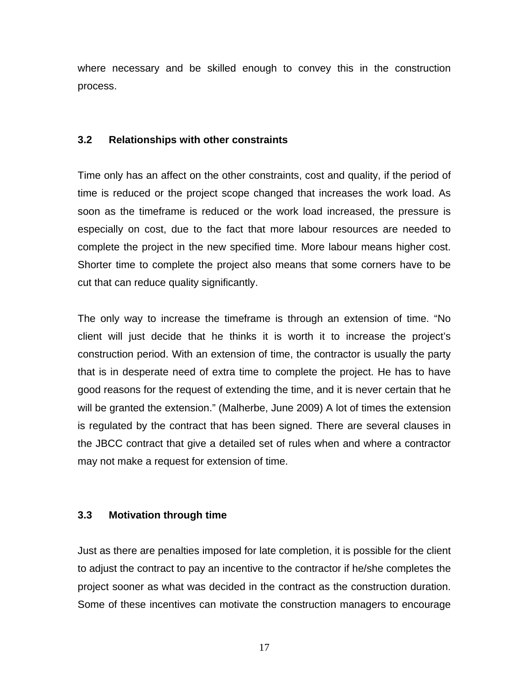<span id="page-23-0"></span>where necessary and be skilled enough to convey this in the construction process.

#### **3.2 Relationships with other constraints**

Time only has an affect on the other constraints, cost and quality, if the period of time is reduced or the project scope changed that increases the work load. As soon as the timeframe is reduced or the work load increased, the pressure is especially on cost, due to the fact that more labour resources are needed to complete the project in the new specified time. More labour means higher cost. Shorter time to complete the project also means that some corners have to be cut that can reduce quality significantly.

The only way to increase the timeframe is through an extension of time. "No client will just decide that he thinks it is worth it to increase the project's construction period. With an extension of time, the contractor is usually the party that is in desperate need of extra time to complete the project. He has to have good reasons for the request of extending the time, and it is never certain that he will be granted the extension." (Malherbe, June 2009) A lot of times the extension is regulated by the contract that has been signed. There are several clauses in the JBCC contract that give a detailed set of rules when and where a contractor may not make a request for extension of time.

#### **3.3 Motivation through time**

Just as there are penalties imposed for late completion, it is possible for the client to adjust the contract to pay an incentive to the contractor if he/she completes the project sooner as what was decided in the contract as the construction duration. Some of these incentives can motivate the construction managers to encourage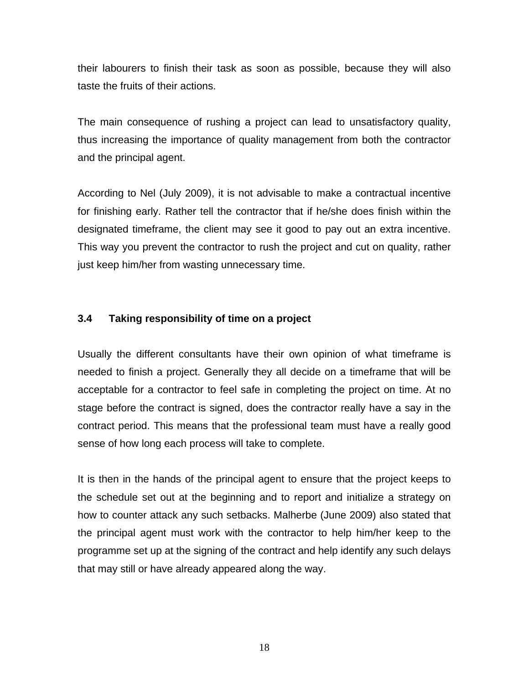<span id="page-24-0"></span>their labourers to finish their task as soon as possible, because they will also taste the fruits of their actions.

The main consequence of rushing a project can lead to unsatisfactory quality, thus increasing the importance of quality management from both the contractor and the principal agent.

According to Nel (July 2009), it is not advisable to make a contractual incentive for finishing early. Rather tell the contractor that if he/she does finish within the designated timeframe, the client may see it good to pay out an extra incentive. This way you prevent the contractor to rush the project and cut on quality, rather just keep him/her from wasting unnecessary time.

#### **3.4 Taking responsibility of time on a project**

Usually the different consultants have their own opinion of what timeframe is needed to finish a project. Generally they all decide on a timeframe that will be acceptable for a contractor to feel safe in completing the project on time. At no stage before the contract is signed, does the contractor really have a say in the contract period. This means that the professional team must have a really good sense of how long each process will take to complete.

It is then in the hands of the principal agent to ensure that the project keeps to the schedule set out at the beginning and to report and initialize a strategy on how to counter attack any such setbacks. Malherbe (June 2009) also stated that the principal agent must work with the contractor to help him/her keep to the programme set up at the signing of the contract and help identify any such delays that may still or have already appeared along the way.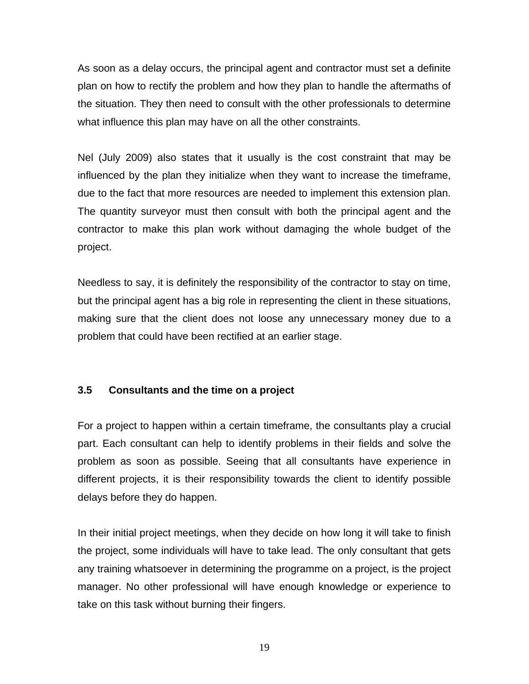<span id="page-25-0"></span>As soon as a delay occurs, the principal agent and contractor must set a definite plan on how to rectify the problem and how they plan to handle the aftermaths of the situation. They then need to consult with the other professionals to determine what influence this plan may have on all the other constraints.

Nel (July 2009) also states that it usually is the cost constraint that may be influenced by the plan they initialize when they want to increase the timeframe, due to the fact that more resources are needed to implement this extension plan. The quantity surveyor must then consult with both the principal agent and the contractor to make this plan work without damaging the whole budget of the project.

Needless to say, it is definitely the responsibility of the contractor to stay on time, but the principal agent has a big role in representing the client in these situations, making sure that the client does not loose any unnecessary money due to a problem that could have been rectified at an earlier stage.

#### **3.5 Consultants and the time on a project**

For a project to happen within a certain timeframe, the consultants play a crucial part. Each consultant can help to identify problems in their fields and solve the problem as soon as possible. Seeing that all consultants have experience in different projects, it is their responsibility towards the client to identify possible delays before they do happen.

In their initial project meetings, when they decide on how long it will take to finish the project, some individuals will have to take lead. The only consultant that gets any training whatsoever in determining the programme on a project, is the project manager. No other professional will have enough knowledge or experience to take on this task without burning their fingers.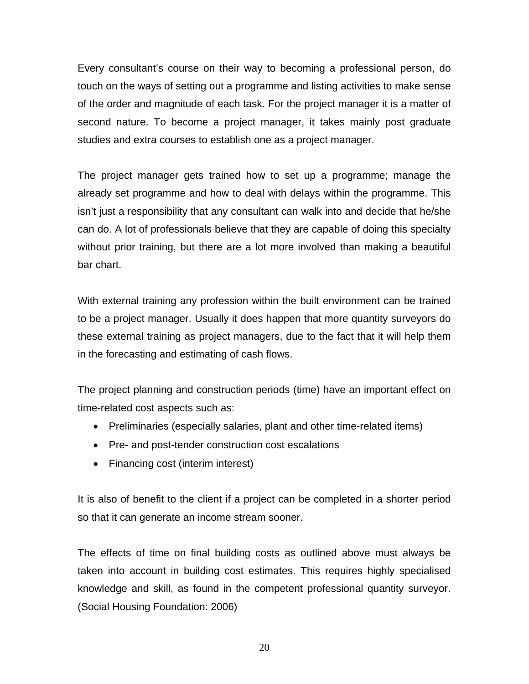Every consultant's course on their way to becoming a professional person, do touch on the ways of setting out a programme and listing activities to make sense of the order and magnitude of each task. For the project manager it is a matter of second nature. To become a project manager, it takes mainly post graduate studies and extra courses to establish one as a project manager.

The project manager gets trained how to set up a programme; manage the already set programme and how to deal with delays within the programme. This isn't just a responsibility that any consultant can walk into and decide that he/she can do. A lot of professionals believe that they are capable of doing this specialty without prior training, but there are a lot more involved than making a beautiful bar chart.

With external training any profession within the built environment can be trained to be a project manager. Usually it does happen that more quantity surveyors do these external training as project managers, due to the fact that it will help them in the forecasting and estimating of cash flows.

The project planning and construction periods (time) have an important effect on time-related cost aspects such as:

- Preliminaries (especially salaries, plant and other time-related items)
- Pre- and post-tender construction cost escalations
- Financing cost (interim interest)

It is also of benefit to the client if a project can be completed in a shorter period so that it can generate an income stream sooner.

The effects of time on final building costs as outlined above must always be taken into account in building cost estimates. This requires highly specialised knowledge and skill, as found in the competent professional quantity surveyor. (Social Housing Foundation: 2006)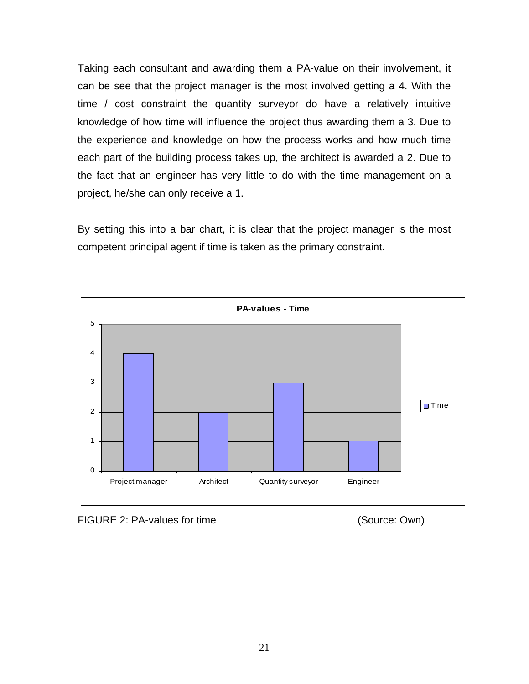Taking each consultant and awarding them a PA-value on their involvement, it can be see that the project manager is the most involved getting a 4. With the time / cost constraint the quantity surveyor do have a relatively intuitive knowledge of how time will influence the project thus awarding them a 3. Due to the experience and knowledge on how the process works and how much time each part of the building process takes up, the architect is awarded a 2. Due to the fact that an engineer has very little to do with the time management on a project, he/she can only receive a 1.

By setting this into a bar chart, it is clear that the project manager is the most competent principal agent if time is taken as the primary constraint.



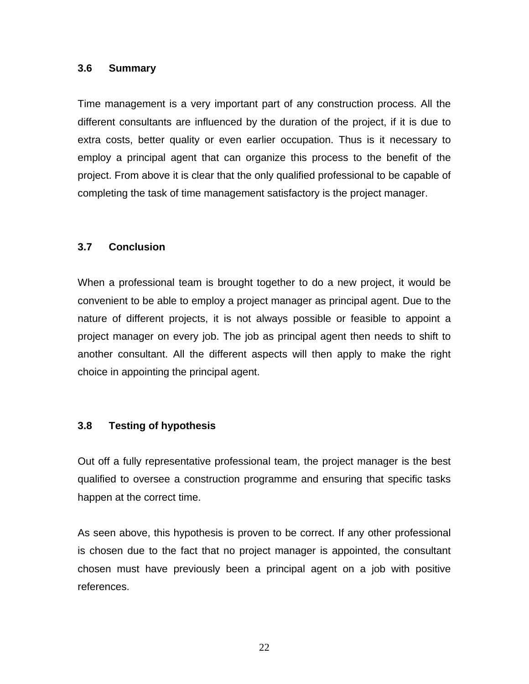#### <span id="page-28-0"></span>**3.6 Summary**

Time management is a very important part of any construction process. All the different consultants are influenced by the duration of the project, if it is due to extra costs, better quality or even earlier occupation. Thus is it necessary to employ a principal agent that can organize this process to the benefit of the project. From above it is clear that the only qualified professional to be capable of completing the task of time management satisfactory is the project manager.

#### **3.7 Conclusion**

When a professional team is brought together to do a new project, it would be convenient to be able to employ a project manager as principal agent. Due to the nature of different projects, it is not always possible or feasible to appoint a project manager on every job. The job as principal agent then needs to shift to another consultant. All the different aspects will then apply to make the right choice in appointing the principal agent.

#### **3.8 Testing of hypothesis**

Out off a fully representative professional team, the project manager is the best qualified to oversee a construction programme and ensuring that specific tasks happen at the correct time.

As seen above, this hypothesis is proven to be correct. If any other professional is chosen due to the fact that no project manager is appointed, the consultant chosen must have previously been a principal agent on a job with positive references.

22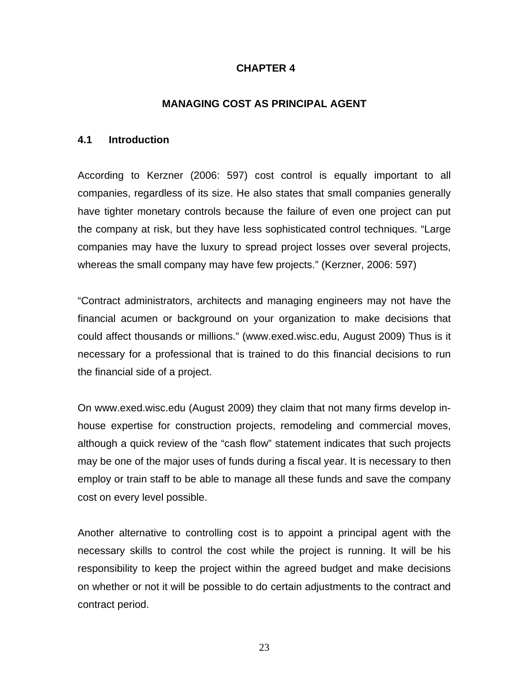#### **CHAPTER 4**

#### **MANAGING COST AS PRINCIPAL AGENT**

#### <span id="page-29-0"></span>**4.1 Introduction**

According to Kerzner (2006: 597) cost control is equally important to all companies, regardless of its size. He also states that small companies generally have tighter monetary controls because the failure of even one project can put the company at risk, but they have less sophisticated control techniques. "Large companies may have the luxury to spread project losses over several projects, whereas the small company may have few projects." (Kerzner, 2006: 597)

"Contract administrators, architects and managing engineers may not have the financial acumen or background on your organization to make decisions that could affect thousands or millions." (www.exed.wisc.edu, August 2009) Thus is it necessary for a professional that is trained to do this financial decisions to run the financial side of a project.

On www.exed.wisc.edu (August 2009) they claim that not many firms develop inhouse expertise for construction projects, remodeling and commercial moves, although a quick review of the "cash flow" statement indicates that such projects may be one of the major uses of funds during a fiscal year. It is necessary to then employ or train staff to be able to manage all these funds and save the company cost on every level possible.

Another alternative to controlling cost is to appoint a principal agent with the necessary skills to control the cost while the project is running. It will be his responsibility to keep the project within the agreed budget and make decisions on whether or not it will be possible to do certain adjustments to the contract and contract period.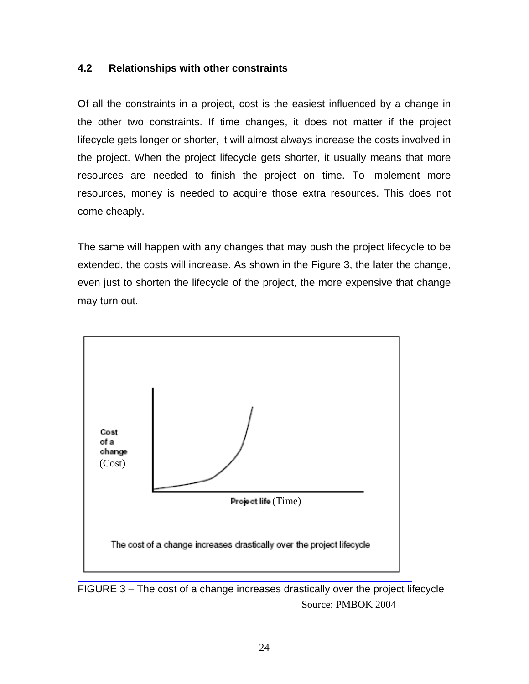#### <span id="page-30-0"></span>**4.2 Relationships with other constraints**

Of all the constraints in a project, cost is the easiest influenced by a change in the other two constraints. If time changes, it does not matter if the project lifecycle gets longer or shorter, it will almost always increase the costs involved in the project. When the project lifecycle gets shorter, it usually means that more resources are needed to finish the project on time. To implement more resources, money is needed to acquire those extra resources. This does not come cheaply.

The same will happen with any changes that may push the project lifecycle to be extended, the costs will increase. As shown in the Figure 3, the later the change, even just to shorten the lifecycle of the project, the more expensive that change may turn out.



FIGURE 3 – The cost of a change increases drastically over the project lifecycle Source: PMBOK 2004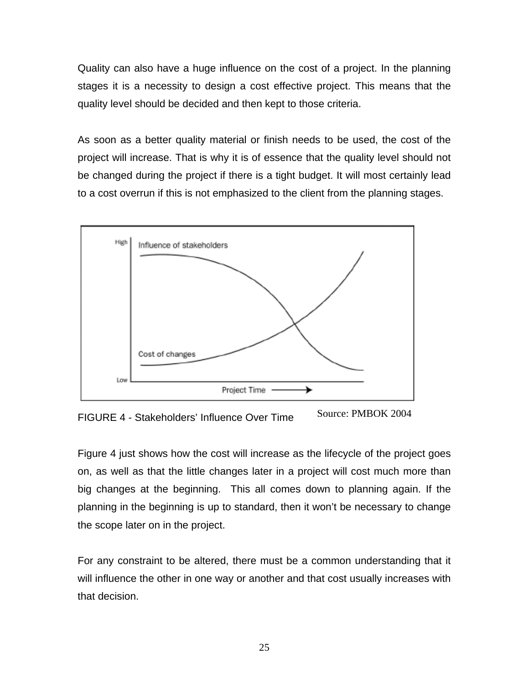Quality can also have a huge influence on the cost of a project. In the planning stages it is a necessity to design a cost effective project. This means that the quality level should be decided and then kept to those criteria.

As soon as a better quality material or finish needs to be used, the cost of the project will increase. That is why it is of essence that the quality level should not be changed during the project if there is a tight budget. It will most certainly lead to a cost overrun if this is not emphasized to the client from the planning stages.



Source: PMBOK 2004 FIGURE 4 - Stakeholders' Influence Over Time

Figure 4 just shows how the cost will increase as the lifecycle of the project goes on, as well as that the little changes later in a project will cost much more than big changes at the beginning. This all comes down to planning again. If the planning in the beginning is up to standard, then it won't be necessary to change the scope later on in the project.

For any constraint to be altered, there must be a common understanding that it will influence the other in one way or another and that cost usually increases with that decision.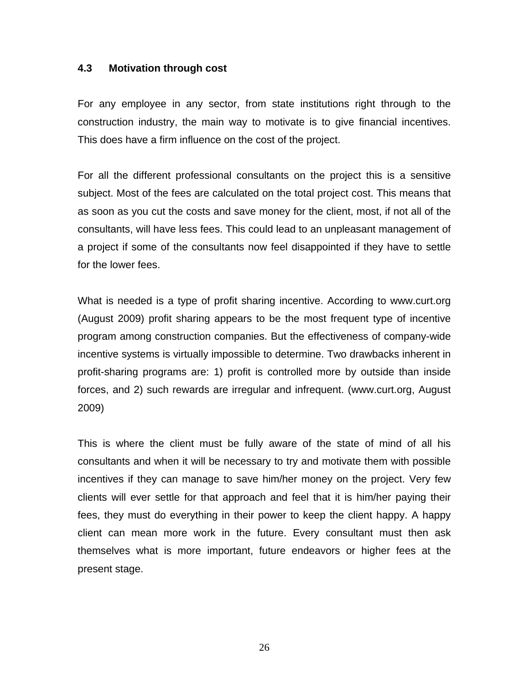#### <span id="page-32-0"></span>**4.3 Motivation through cost**

For any employee in any sector, from state institutions right through to the construction industry, the main way to motivate is to give financial incentives. This does have a firm influence on the cost of the project.

For all the different professional consultants on the project this is a sensitive subject. Most of the fees are calculated on the total project cost. This means that as soon as you cut the costs and save money for the client, most, if not all of the consultants, will have less fees. This could lead to an unpleasant management of a project if some of the consultants now feel disappointed if they have to settle for the lower fees.

What is needed is a type of profit sharing incentive. According to www.curt.org (August 2009) profit sharing appears to be the most frequent type of incentive program among construction companies. But the effectiveness of company-wide incentive systems is virtually impossible to determine. Two drawbacks inherent in profit-sharing programs are: 1) profit is controlled more by outside than inside forces, and 2) such rewards are irregular and infrequent. (www.curt.org, August 2009)

This is where the client must be fully aware of the state of mind of all his consultants and when it will be necessary to try and motivate them with possible incentives if they can manage to save him/her money on the project. Very few clients will ever settle for that approach and feel that it is him/her paying their fees, they must do everything in their power to keep the client happy. A happy client can mean more work in the future. Every consultant must then ask themselves what is more important, future endeavors or higher fees at the present stage.

26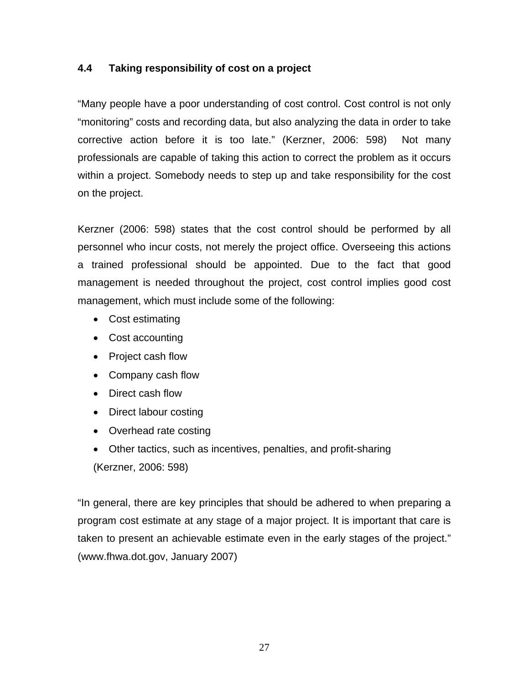#### <span id="page-33-0"></span>**4.4 Taking responsibility of cost on a project**

"Many people have a poor understanding of cost control. Cost control is not only "monitoring" costs and recording data, but also analyzing the data in order to take corrective action before it is too late." (Kerzner, 2006: 598) Not many professionals are capable of taking this action to correct the problem as it occurs within a project. Somebody needs to step up and take responsibility for the cost on the project.

Kerzner (2006: 598) states that the cost control should be performed by all personnel who incur costs, not merely the project office. Overseeing this actions a trained professional should be appointed. Due to the fact that good management is needed throughout the project, cost control implies good cost management, which must include some of the following:

- Cost estimating
- Cost accounting
- Project cash flow
- Company cash flow
- Direct cash flow
- Direct labour costing
- Overhead rate costing
- Other tactics, such as incentives, penalties, and profit-sharing (Kerzner, 2006: 598)

"In general, there are key principles that should be adhered to when preparing a program cost estimate at any stage of a major project. It is important that care is taken to present an achievable estimate even in the early stages of the project." (www.fhwa.dot.gov, January 2007)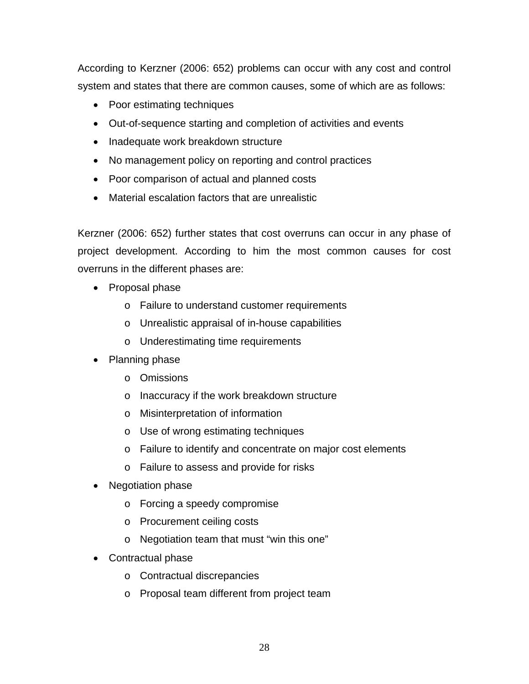According to Kerzner (2006: 652) problems can occur with any cost and control system and states that there are common causes, some of which are as follows:

- Poor estimating techniques
- Out-of-sequence starting and completion of activities and events
- Inadequate work breakdown structure
- No management policy on reporting and control practices
- Poor comparison of actual and planned costs
- Material escalation factors that are unrealistic

Kerzner (2006: 652) further states that cost overruns can occur in any phase of project development. According to him the most common causes for cost overruns in the different phases are:

- Proposal phase
	- o Failure to understand customer requirements
	- o Unrealistic appraisal of in-house capabilities
	- o Underestimating time requirements
- Planning phase
	- o Omissions
	- o Inaccuracy if the work breakdown structure
	- o Misinterpretation of information
	- o Use of wrong estimating techniques
	- o Failure to identify and concentrate on major cost elements
	- o Failure to assess and provide for risks
- Negotiation phase
	- o Forcing a speedy compromise
	- o Procurement ceiling costs
	- o Negotiation team that must "win this one"
- Contractual phase
	- o Contractual discrepancies
	- o Proposal team different from project team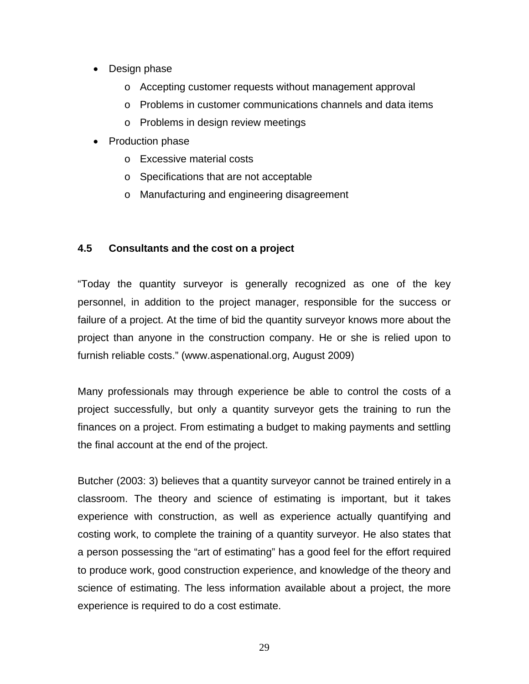- <span id="page-35-0"></span>• Design phase
	- o Accepting customer requests without management approval
	- o Problems in customer communications channels and data items
	- o Problems in design review meetings
- Production phase
	- o Excessive material costs
	- o Specifications that are not acceptable
	- o Manufacturing and engineering disagreement

#### **4.5 Consultants and the cost on a project**

"Today the quantity surveyor is generally recognized as one of the key personnel, in addition to the project manager, responsible for the success or failure of a project. At the time of bid the quantity surveyor knows more about the project than anyone in the construction company. He or she is relied upon to furnish reliable costs." (www.aspenational.org, August 2009)

Many professionals may through experience be able to control the costs of a project successfully, but only a quantity surveyor gets the training to run the finances on a project. From estimating a budget to making payments and settling the final account at the end of the project.

Butcher (2003: 3) believes that a quantity surveyor cannot be trained entirely in a classroom. The theory and science of estimating is important, but it takes experience with construction, as well as experience actually quantifying and costing work, to complete the training of a quantity surveyor. He also states that a person possessing the "art of estimating" has a good feel for the effort required to produce work, good construction experience, and knowledge of the theory and science of estimating. The less information available about a project, the more experience is required to do a cost estimate.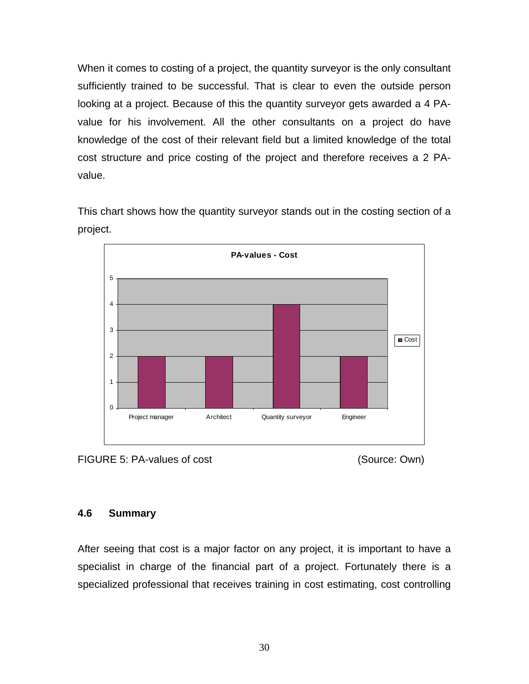<span id="page-36-0"></span>When it comes to costing of a project, the quantity surveyor is the only consultant sufficiently trained to be successful. That is clear to even the outside person looking at a project. Because of this the quantity surveyor gets awarded a 4 PAvalue for his involvement. All the other consultants on a project do have knowledge of the cost of their relevant field but a limited knowledge of the total cost structure and price costing of the project and therefore receives a 2 PAvalue.

This chart shows how the quantity surveyor stands out in the costing section of a project.





#### **4.6 Summary**

After seeing that cost is a major factor on any project, it is important to have a specialist in charge of the financial part of a project. Fortunately there is a specialized professional that receives training in cost estimating, cost controlling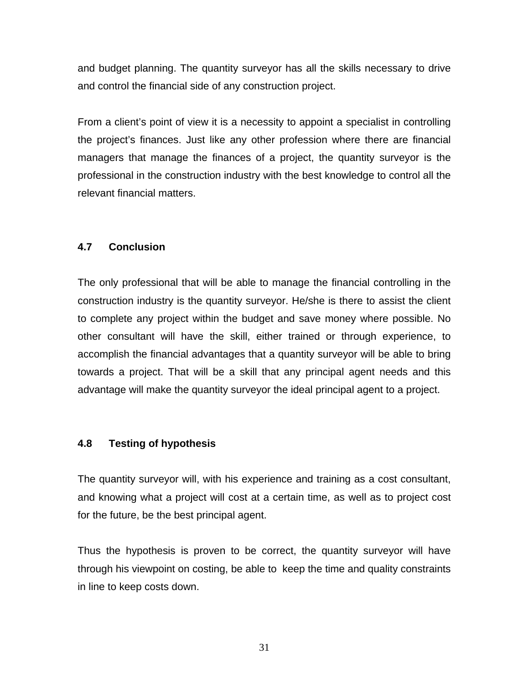<span id="page-37-0"></span>and budget planning. The quantity surveyor has all the skills necessary to drive and control the financial side of any construction project.

From a client's point of view it is a necessity to appoint a specialist in controlling the project's finances. Just like any other profession where there are financial managers that manage the finances of a project, the quantity surveyor is the professional in the construction industry with the best knowledge to control all the relevant financial matters.

#### **4.7 Conclusion**

The only professional that will be able to manage the financial controlling in the construction industry is the quantity surveyor. He/she is there to assist the client to complete any project within the budget and save money where possible. No other consultant will have the skill, either trained or through experience, to accomplish the financial advantages that a quantity surveyor will be able to bring towards a project. That will be a skill that any principal agent needs and this advantage will make the quantity surveyor the ideal principal agent to a project.

#### **4.8 Testing of hypothesis**

The quantity surveyor will, with his experience and training as a cost consultant, and knowing what a project will cost at a certain time, as well as to project cost for the future, be the best principal agent.

Thus the hypothesis is proven to be correct, the quantity surveyor will have through his viewpoint on costing, be able to keep the time and quality constraints in line to keep costs down.

31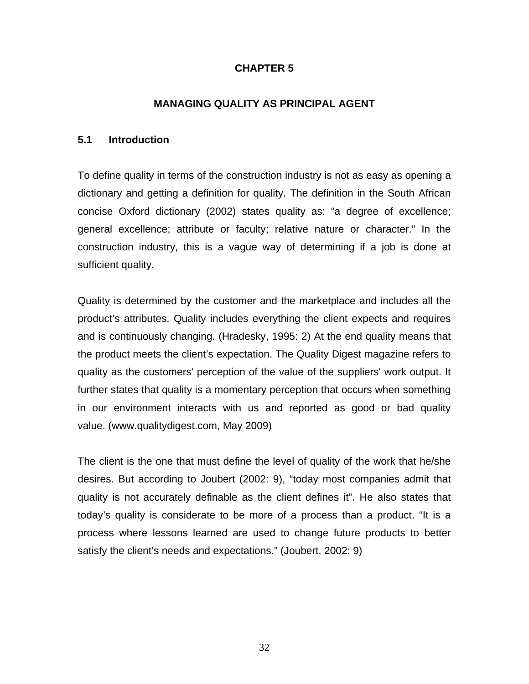#### **CHAPTER 5**

#### **MANAGING QUALITY AS PRINCIPAL AGENT**

#### <span id="page-38-0"></span>**5.1 Introduction**

To define quality in terms of the construction industry is not as easy as opening a dictionary and getting a definition for quality. The definition in the South African concise Oxford dictionary (2002) states quality as: "a degree of excellence; general excellence; attribute or faculty; relative nature or character." In the construction industry, this is a vague way of determining if a job is done at sufficient quality.

Quality is determined by the customer and the marketplace and includes all the product's attributes. Quality includes everything the client expects and requires and is continuously changing. (Hradesky, 1995: 2) At the end quality means that the product meets the client's expectation. The Quality Digest magazine refers to quality as the customers' perception of the value of the suppliers' work output. It further states that quality is a momentary perception that occurs when something in our environment interacts with us and reported as good or bad quality value. (www.qualitydigest.com, May 2009)

The client is the one that must define the level of quality of the work that he/she desires. But according to Joubert (2002: 9), "today most companies admit that quality is not accurately definable as the client defines it". He also states that today's quality is considerate to be more of a process than a product. "It is a process where lessons learned are used to change future products to better satisfy the client's needs and expectations." (Joubert, 2002: 9)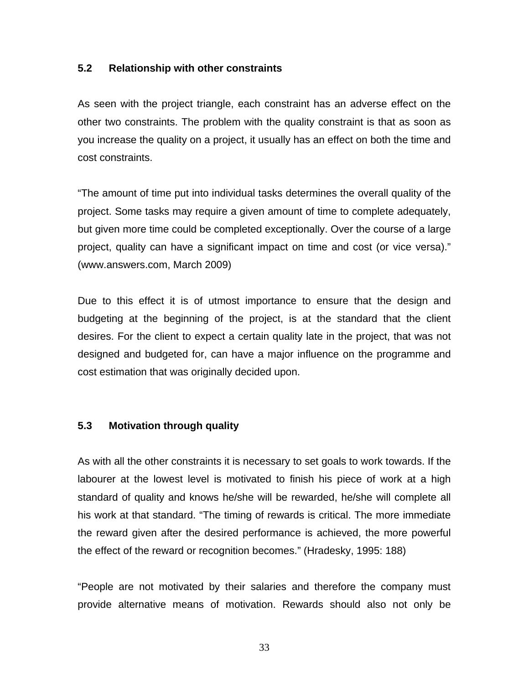#### <span id="page-39-0"></span>**5.2 Relationship with other constraints**

As seen with the project triangle, each constraint has an adverse effect on the other two constraints. The problem with the quality constraint is that as soon as you increase the quality on a project, it usually has an effect on both the time and cost constraints.

"The amount of time put into individual tasks determines the overall quality of the project. Some tasks may require a given amount of time to complete adequately, but given more time could be completed exceptionally. Over the course of a large project, quality can have a significant impact on time and cost (or vice versa)." (www.answers.com, March 2009)

Due to this effect it is of utmost importance to ensure that the design and budgeting at the beginning of the project, is at the standard that the client desires. For the client to expect a certain quality late in the project, that was not designed and budgeted for, can have a major influence on the programme and cost estimation that was originally decided upon.

#### **5.3 Motivation through quality**

As with all the other constraints it is necessary to set goals to work towards. If the labourer at the lowest level is motivated to finish his piece of work at a high standard of quality and knows he/she will be rewarded, he/she will complete all his work at that standard. "The timing of rewards is critical. The more immediate the reward given after the desired performance is achieved, the more powerful the effect of the reward or recognition becomes." (Hradesky, 1995: 188)

"People are not motivated by their salaries and therefore the company must provide alternative means of motivation. Rewards should also not only be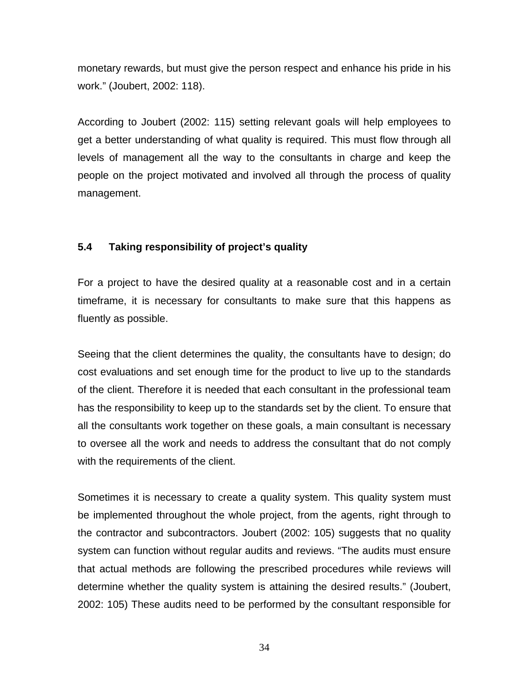<span id="page-40-0"></span>monetary rewards, but must give the person respect and enhance his pride in his work." (Joubert, 2002: 118).

According to Joubert (2002: 115) setting relevant goals will help employees to get a better understanding of what quality is required. This must flow through all levels of management all the way to the consultants in charge and keep the people on the project motivated and involved all through the process of quality management.

#### **5.4 Taking responsibility of project's quality**

For a project to have the desired quality at a reasonable cost and in a certain timeframe, it is necessary for consultants to make sure that this happens as fluently as possible.

Seeing that the client determines the quality, the consultants have to design; do cost evaluations and set enough time for the product to live up to the standards of the client. Therefore it is needed that each consultant in the professional team has the responsibility to keep up to the standards set by the client. To ensure that all the consultants work together on these goals, a main consultant is necessary to oversee all the work and needs to address the consultant that do not comply with the requirements of the client.

Sometimes it is necessary to create a quality system. This quality system must be implemented throughout the whole project, from the agents, right through to the contractor and subcontractors. Joubert (2002: 105) suggests that no quality system can function without regular audits and reviews. "The audits must ensure that actual methods are following the prescribed procedures while reviews will determine whether the quality system is attaining the desired results." (Joubert, 2002: 105) These audits need to be performed by the consultant responsible for

34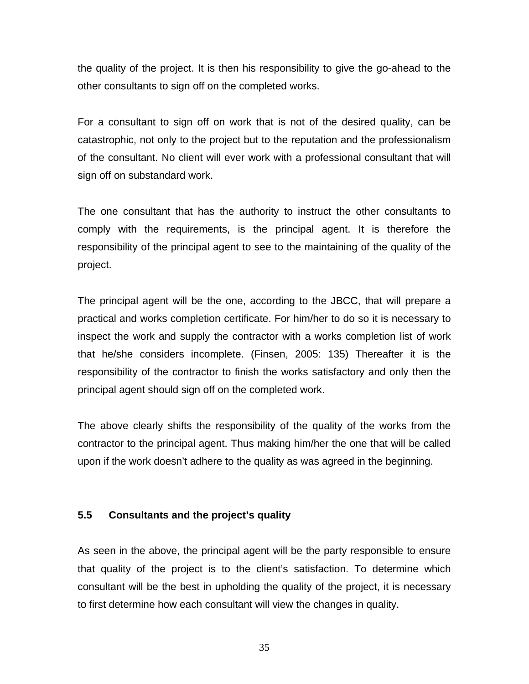<span id="page-41-0"></span>the quality of the project. It is then his responsibility to give the go-ahead to the other consultants to sign off on the completed works.

For a consultant to sign off on work that is not of the desired quality, can be catastrophic, not only to the project but to the reputation and the professionalism of the consultant. No client will ever work with a professional consultant that will sign off on substandard work.

The one consultant that has the authority to instruct the other consultants to comply with the requirements, is the principal agent. It is therefore the responsibility of the principal agent to see to the maintaining of the quality of the project.

The principal agent will be the one, according to the JBCC, that will prepare a practical and works completion certificate. For him/her to do so it is necessary to inspect the work and supply the contractor with a works completion list of work that he/she considers incomplete. (Finsen, 2005: 135) Thereafter it is the responsibility of the contractor to finish the works satisfactory and only then the principal agent should sign off on the completed work.

The above clearly shifts the responsibility of the quality of the works from the contractor to the principal agent. Thus making him/her the one that will be called upon if the work doesn't adhere to the quality as was agreed in the beginning.

#### **5.5 Consultants and the project's quality**

As seen in the above, the principal agent will be the party responsible to ensure that quality of the project is to the client's satisfaction. To determine which consultant will be the best in upholding the quality of the project, it is necessary to first determine how each consultant will view the changes in quality.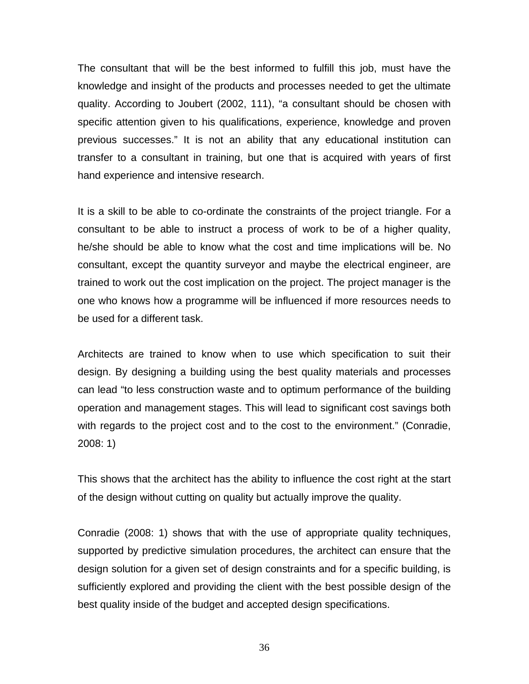The consultant that will be the best informed to fulfill this job, must have the knowledge and insight of the products and processes needed to get the ultimate quality. According to Joubert (2002, 111), "a consultant should be chosen with specific attention given to his qualifications, experience, knowledge and proven previous successes." It is not an ability that any educational institution can transfer to a consultant in training, but one that is acquired with years of first hand experience and intensive research.

It is a skill to be able to co-ordinate the constraints of the project triangle. For a consultant to be able to instruct a process of work to be of a higher quality, he/she should be able to know what the cost and time implications will be. No consultant, except the quantity surveyor and maybe the electrical engineer, are trained to work out the cost implication on the project. The project manager is the one who knows how a programme will be influenced if more resources needs to be used for a different task.

Architects are trained to know when to use which specification to suit their design. By designing a building using the best quality materials and processes can lead "to less construction waste and to optimum performance of the building operation and management stages. This will lead to significant cost savings both with regards to the project cost and to the cost to the environment." (Conradie, 2008: 1)

This shows that the architect has the ability to influence the cost right at the start of the design without cutting on quality but actually improve the quality.

Conradie (2008: 1) shows that with the use of appropriate quality techniques, supported by predictive simulation procedures, the architect can ensure that the design solution for a given set of design constraints and for a specific building, is sufficiently explored and providing the client with the best possible design of the best quality inside of the budget and accepted design specifications.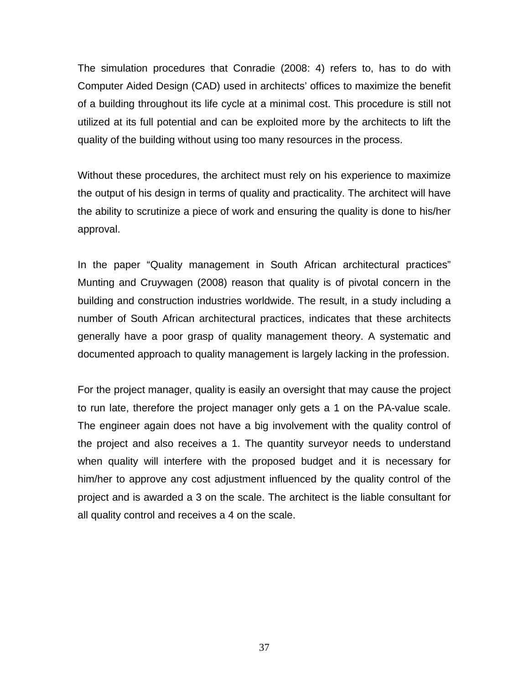The simulation procedures that Conradie (2008: 4) refers to, has to do with Computer Aided Design (CAD) used in architects' offices to maximize the benefit of a building throughout its life cycle at a minimal cost. This procedure is still not utilized at its full potential and can be exploited more by the architects to lift the quality of the building without using too many resources in the process.

Without these procedures, the architect must rely on his experience to maximize the output of his design in terms of quality and practicality. The architect will have the ability to scrutinize a piece of work and ensuring the quality is done to his/her approval.

In the paper "Quality management in South African architectural practices" Munting and Cruywagen (2008) reason that quality is of pivotal concern in the building and construction industries worldwide. The result, in a study including a number of South African architectural practices, indicates that these architects generally have a poor grasp of quality management theory. A systematic and documented approach to quality management is largely lacking in the profession.

For the project manager, quality is easily an oversight that may cause the project to run late, therefore the project manager only gets a 1 on the PA-value scale. The engineer again does not have a big involvement with the quality control of the project and also receives a 1. The quantity surveyor needs to understand when quality will interfere with the proposed budget and it is necessary for him/her to approve any cost adjustment influenced by the quality control of the project and is awarded a 3 on the scale. The architect is the liable consultant for all quality control and receives a 4 on the scale.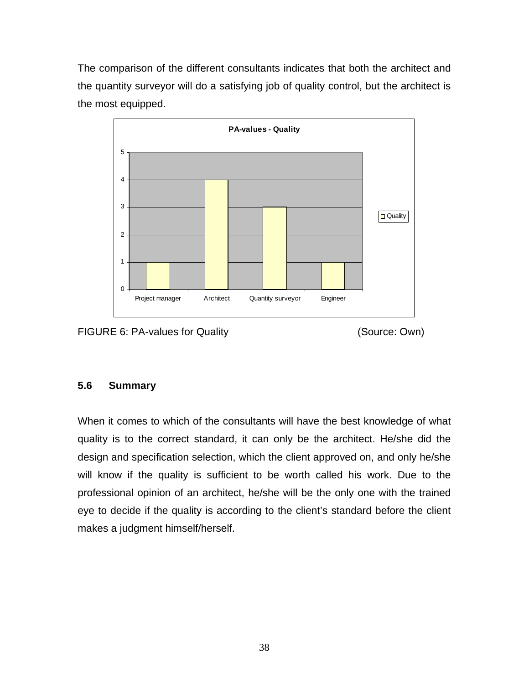<span id="page-44-0"></span>The comparison of the different consultants indicates that both the architect and the quantity surveyor will do a satisfying job of quality control, but the architect is the most equipped.





#### **5.6 Summary**

When it comes to which of the consultants will have the best knowledge of what quality is to the correct standard, it can only be the architect. He/she did the design and specification selection, which the client approved on, and only he/she will know if the quality is sufficient to be worth called his work. Due to the professional opinion of an architect, he/she will be the only one with the trained eye to decide if the quality is according to the client's standard before the client makes a judgment himself/herself.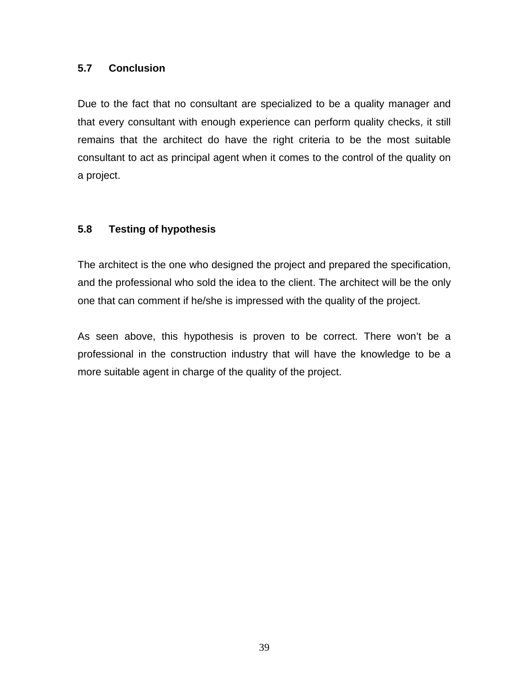#### <span id="page-45-0"></span>**5.7 Conclusion**

Due to the fact that no consultant are specialized to be a quality manager and that every consultant with enough experience can perform quality checks, it still remains that the architect do have the right criteria to be the most suitable consultant to act as principal agent when it comes to the control of the quality on a project.

#### **5.8 Testing of hypothesis**

The architect is the one who designed the project and prepared the specification, and the professional who sold the idea to the client. The architect will be the only one that can comment if he/she is impressed with the quality of the project.

As seen above, this hypothesis is proven to be correct. There won't be a professional in the construction industry that will have the knowledge to be a more suitable agent in charge of the quality of the project.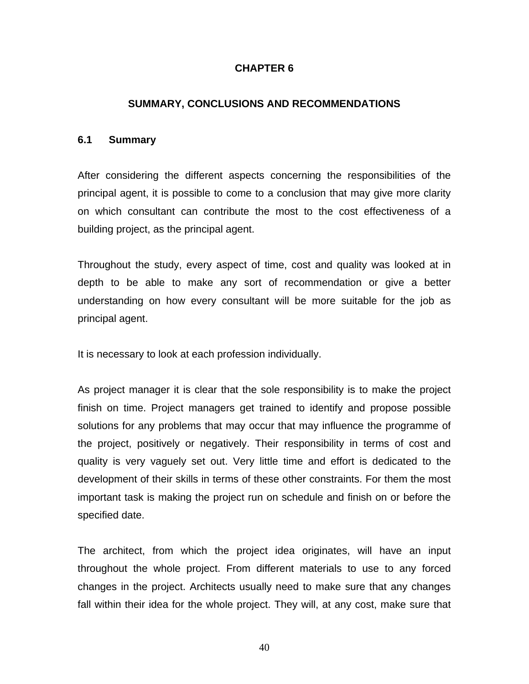#### **CHAPTER 6**

#### **SUMMARY, CONCLUSIONS AND RECOMMENDATIONS**

#### <span id="page-46-0"></span>**6.1 Summary**

After considering the different aspects concerning the responsibilities of the principal agent, it is possible to come to a conclusion that may give more clarity on which consultant can contribute the most to the cost effectiveness of a building project, as the principal agent.

Throughout the study, every aspect of time, cost and quality was looked at in depth to be able to make any sort of recommendation or give a better understanding on how every consultant will be more suitable for the job as principal agent.

It is necessary to look at each profession individually.

As project manager it is clear that the sole responsibility is to make the project finish on time. Project managers get trained to identify and propose possible solutions for any problems that may occur that may influence the programme of the project, positively or negatively. Their responsibility in terms of cost and quality is very vaguely set out. Very little time and effort is dedicated to the development of their skills in terms of these other constraints. For them the most important task is making the project run on schedule and finish on or before the specified date.

The architect, from which the project idea originates, will have an input throughout the whole project. From different materials to use to any forced changes in the project. Architects usually need to make sure that any changes fall within their idea for the whole project. They will, at any cost, make sure that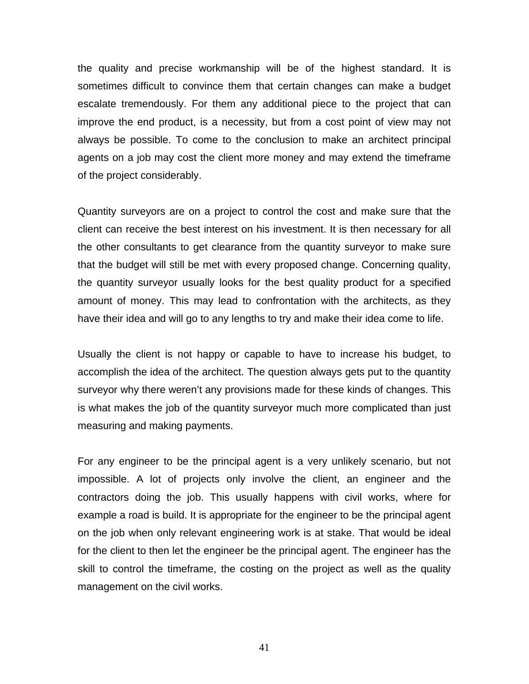the quality and precise workmanship will be of the highest standard. It is sometimes difficult to convince them that certain changes can make a budget escalate tremendously. For them any additional piece to the project that can improve the end product, is a necessity, but from a cost point of view may not always be possible. To come to the conclusion to make an architect principal agents on a job may cost the client more money and may extend the timeframe of the project considerably.

Quantity surveyors are on a project to control the cost and make sure that the client can receive the best interest on his investment. It is then necessary for all the other consultants to get clearance from the quantity surveyor to make sure that the budget will still be met with every proposed change. Concerning quality, the quantity surveyor usually looks for the best quality product for a specified amount of money. This may lead to confrontation with the architects, as they have their idea and will go to any lengths to try and make their idea come to life.

Usually the client is not happy or capable to have to increase his budget, to accomplish the idea of the architect. The question always gets put to the quantity surveyor why there weren't any provisions made for these kinds of changes. This is what makes the job of the quantity surveyor much more complicated than just measuring and making payments.

For any engineer to be the principal agent is a very unlikely scenario, but not impossible. A lot of projects only involve the client, an engineer and the contractors doing the job. This usually happens with civil works, where for example a road is build. It is appropriate for the engineer to be the principal agent on the job when only relevant engineering work is at stake. That would be ideal for the client to then let the engineer be the principal agent. The engineer has the skill to control the timeframe, the costing on the project as well as the quality management on the civil works.

41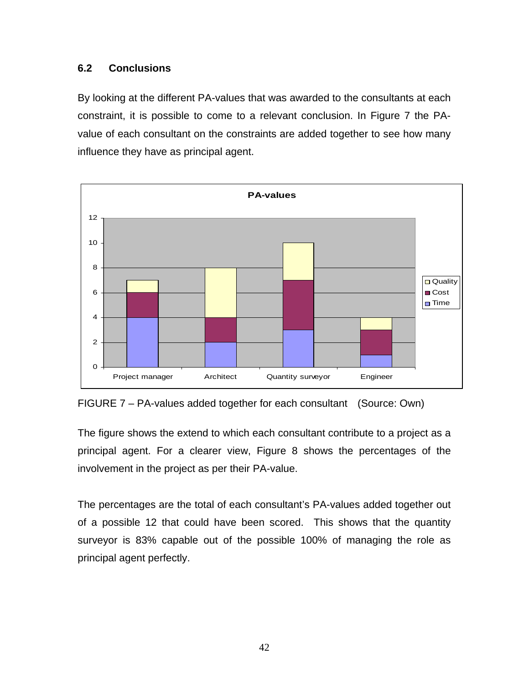#### <span id="page-48-0"></span>**6.2 Conclusions**

By looking at the different PA-values that was awarded to the consultants at each constraint, it is possible to come to a relevant conclusion. In Figure 7 the PAvalue of each consultant on the constraints are added together to see how many influence they have as principal agent.



FIGURE 7 – PA-values added together for each consultant (Source: Own)

The figure shows the extend to which each consultant contribute to a project as a principal agent. For a clearer view, Figure 8 shows the percentages of the involvement in the project as per their PA-value.

The percentages are the total of each consultant's PA-values added together out of a possible 12 that could have been scored. This shows that the quantity surveyor is 83% capable out of the possible 100% of managing the role as principal agent perfectly.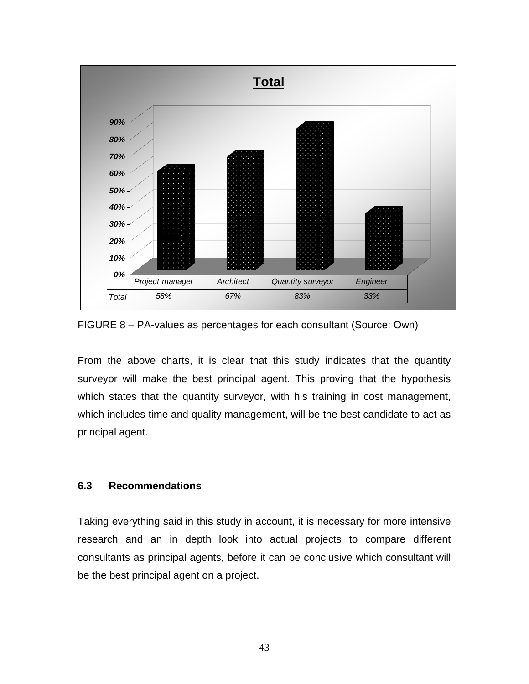<span id="page-49-0"></span>

FIGURE 8 – PA-values as percentages for each consultant (Source: Own)

From the above charts, it is clear that this study indicates that the quantity surveyor will make the best principal agent. This proving that the hypothesis which states that the quantity surveyor, with his training in cost management, which includes time and quality management, will be the best candidate to act as principal agent.

#### **6.3 Recommendations**

Taking everything said in this study in account, it is necessary for more intensive research and an in depth look into actual projects to compare different consultants as principal agents, before it can be conclusive which consultant will be the best principal agent on a project.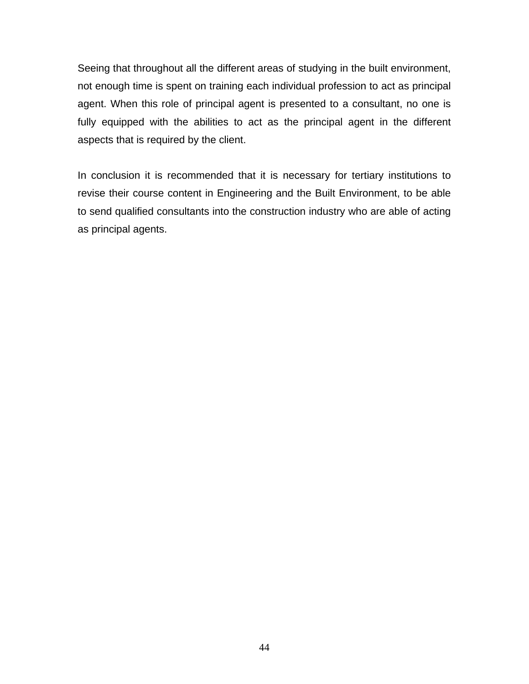Seeing that throughout all the different areas of studying in the built environment, not enough time is spent on training each individual profession to act as principal agent. When this role of principal agent is presented to a consultant, no one is fully equipped with the abilities to act as the principal agent in the different aspects that is required by the client.

In conclusion it is recommended that it is necessary for tertiary institutions to revise their course content in Engineering and the Built Environment, to be able to send qualified consultants into the construction industry who are able of acting as principal agents.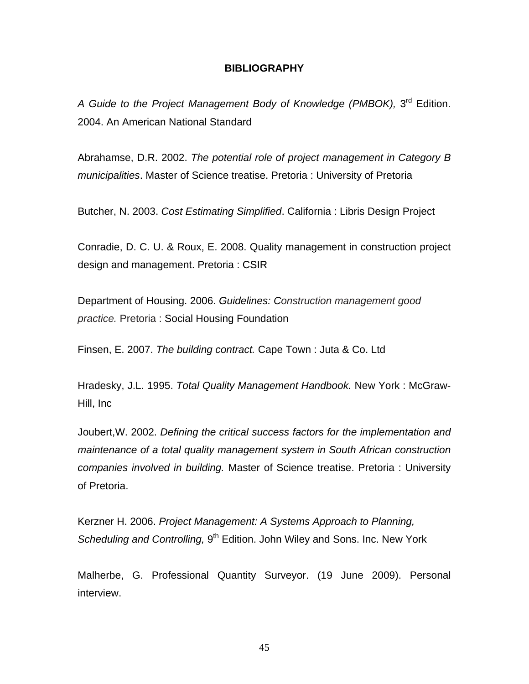#### **BIBLIOGRAPHY**

<span id="page-51-0"></span>A Guide to the Project Management Body of Knowledge (PMBOK), 3<sup>rd</sup> Edition. 2004. An American National Standard

Abrahamse, D.R. 2002. *The potential role of project management in Category B municipalities*. Master of Science treatise. Pretoria : University of Pretoria

Butcher, N. 2003. *Cost Estimating Simplified*. California : Libris Design Project

Conradie, D. C. U. & Roux, E. 2008. Quality management in construction project design and management. Pretoria : CSIR

Department of Housing. 2006. *Guidelines: Construction management good practice.* Pretoria : Social Housing Foundation

Finsen, E. 2007. *The building contract.* Cape Town : Juta & Co. Ltd

Hradesky, J.L. 1995. *Total Quality Management Handbook.* New York : McGraw-Hill, Inc

Joubert,W. 2002. *Defining the critical success factors for the implementation and maintenance of a total quality management system in South African construction companies involved in building.* Master of Science treatise. Pretoria : University of Pretoria.

Kerzner H. 2006. *Project Management: A Systems Approach to Planning, Scheduling and Controlling,* 9<sup>th</sup> Edition. John Wiley and Sons. Inc. New York

Malherbe, G. Professional Quantity Surveyor. (19 June 2009). Personal interview.

45